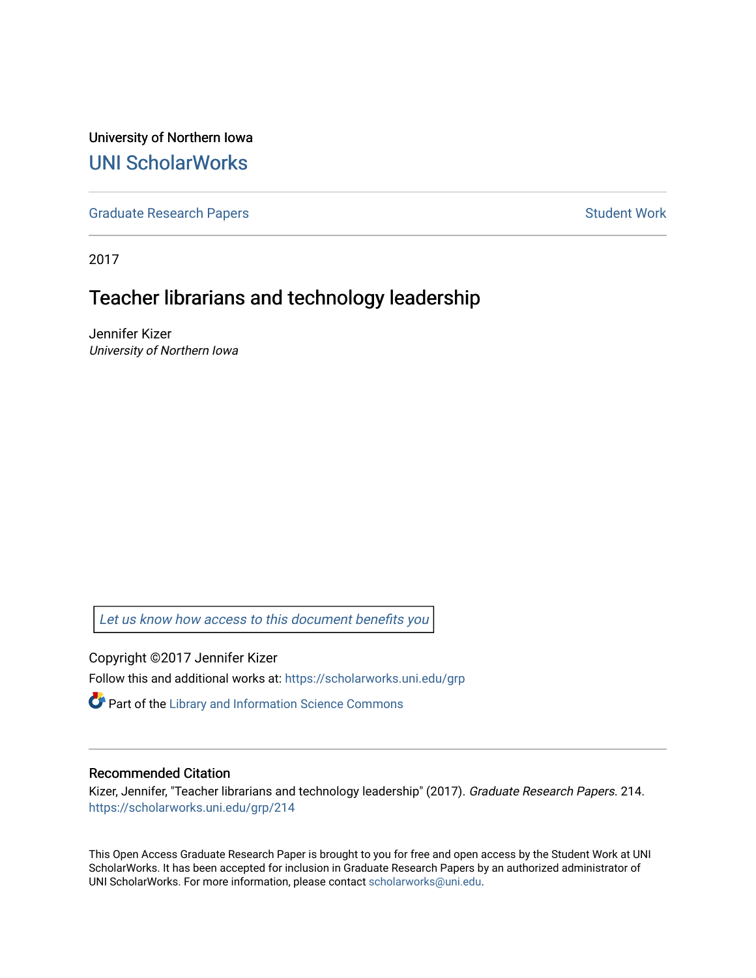University of Northern Iowa [UNI ScholarWorks](https://scholarworks.uni.edu/) 

[Graduate Research Papers](https://scholarworks.uni.edu/grp) **Student Work** Student Work

2017

# Teacher librarians and technology leadership

Jennifer Kizer University of Northern Iowa

[Let us know how access to this document benefits you](https://scholarworks.uni.edu/feedback_form.html) 

Copyright ©2017 Jennifer Kizer Follow this and additional works at: [https://scholarworks.uni.edu/grp](https://scholarworks.uni.edu/grp?utm_source=scholarworks.uni.edu%2Fgrp%2F214&utm_medium=PDF&utm_campaign=PDFCoverPages) 

Part of the [Library and Information Science Commons](http://network.bepress.com/hgg/discipline/1018?utm_source=scholarworks.uni.edu%2Fgrp%2F214&utm_medium=PDF&utm_campaign=PDFCoverPages) 

## Recommended Citation

Kizer, Jennifer, "Teacher librarians and technology leadership" (2017). Graduate Research Papers. 214. [https://scholarworks.uni.edu/grp/214](https://scholarworks.uni.edu/grp/214?utm_source=scholarworks.uni.edu%2Fgrp%2F214&utm_medium=PDF&utm_campaign=PDFCoverPages) 

This Open Access Graduate Research Paper is brought to you for free and open access by the Student Work at UNI ScholarWorks. It has been accepted for inclusion in Graduate Research Papers by an authorized administrator of UNI ScholarWorks. For more information, please contact [scholarworks@uni.edu.](mailto:scholarworks@uni.edu)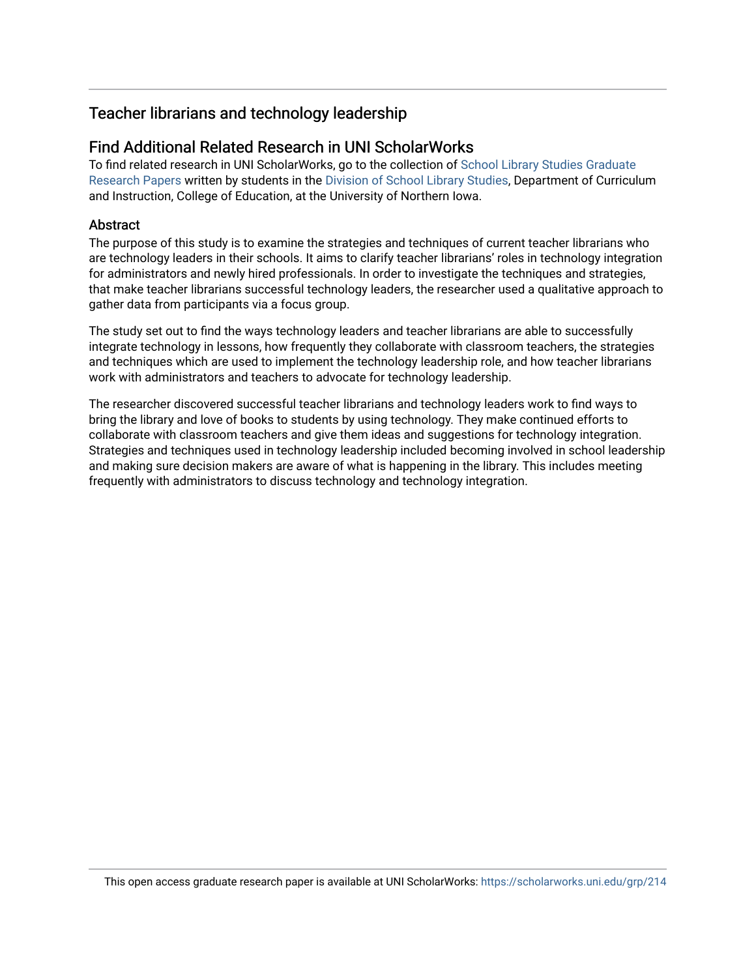## Teacher librarians and technology leadership

## Find Additional Related Research in UNI ScholarWorks

To find related research in UNI ScholarWorks, go to the collection of [School Library Studies Graduate](http://scholarworks.uni.edu/sls_grp/) [Research Papers](http://scholarworks.uni.edu/sls_grp/) written by students in the [Division of School Library Studies,](http://scholarworks.uni.edu/sls/) Department of Curriculum and Instruction, College of Education, at the University of Northern Iowa.

## **Abstract**

The purpose of this study is to examine the strategies and techniques of current teacher librarians who are technology leaders in their schools. It aims to clarify teacher librarians' roles in technology integration for administrators and newly hired professionals. In order to investigate the techniques and strategies, that make teacher librarians successful technology leaders, the researcher used a qualitative approach to gather data from participants via a focus group.

The study set out to find the ways technology leaders and teacher librarians are able to successfully integrate technology in lessons, how frequently they collaborate with classroom teachers, the strategies and techniques which are used to implement the technology leadership role, and how teacher librarians work with administrators and teachers to advocate for technology leadership.

The researcher discovered successful teacher librarians and technology leaders work to find ways to bring the library and love of books to students by using technology. They make continued efforts to collaborate with classroom teachers and give them ideas and suggestions for technology integration. Strategies and techniques used in technology leadership included becoming involved in school leadership and making sure decision makers are aware of what is happening in the library. This includes meeting frequently with administrators to discuss technology and technology integration.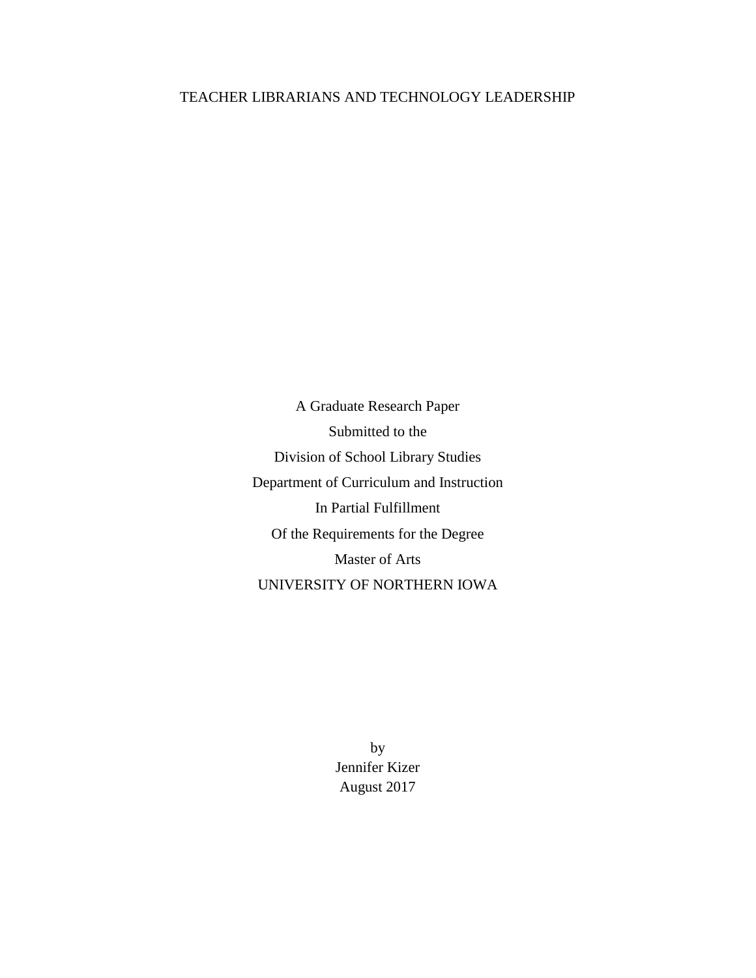## TEACHER LIBRARIANS AND TECHNOLOGY LEADERSHIP

A Graduate Research Paper Submitted to the Division of School Library Studies Department of Curriculum and Instruction In Partial Fulfillment Of the Requirements for the Degree Master of Arts UNIVERSITY OF NORTHERN IOWA

> by Jennifer Kizer August 2017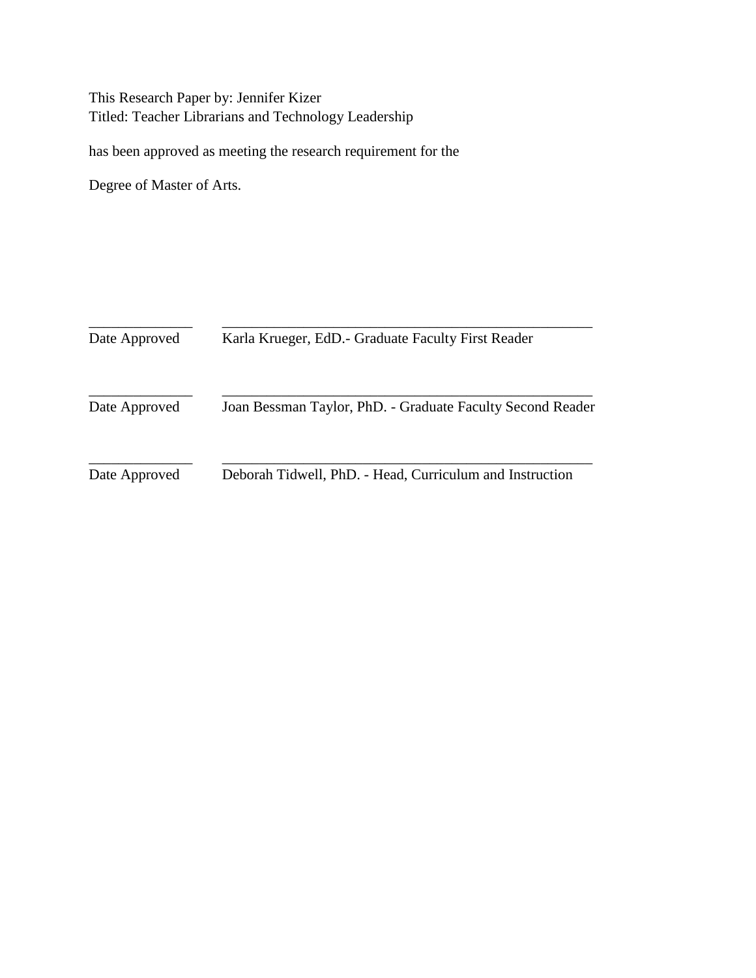This Research Paper by: Jennifer Kizer Titled: Teacher Librarians and Technology Leadership

has been approved as meeting the research requirement for the

Degree of Master of Arts.

| Date Approved | Karla Krueger, EdD. - Graduate Faculty First Reader        |  |
|---------------|------------------------------------------------------------|--|
| Date Approved | Joan Bessman Taylor, PhD. - Graduate Faculty Second Reader |  |
| Date Approved | Deborah Tidwell, PhD. - Head, Curriculum and Instruction   |  |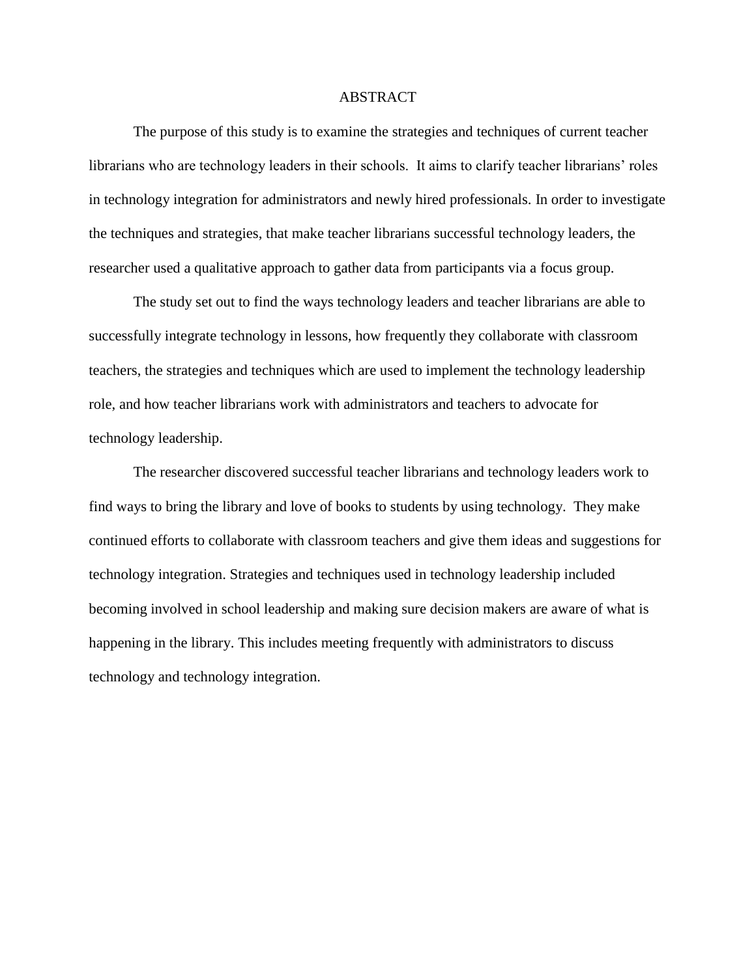## ABSTRACT

The purpose of this study is to examine the strategies and techniques of current teacher librarians who are technology leaders in their schools. It aims to clarify teacher librarians' roles in technology integration for administrators and newly hired professionals. In order to investigate the techniques and strategies, that make teacher librarians successful technology leaders, the researcher used a qualitative approach to gather data from participants via a focus group.

The study set out to find the ways technology leaders and teacher librarians are able to successfully integrate technology in lessons, how frequently they collaborate with classroom teachers, the strategies and techniques which are used to implement the technology leadership role, and how teacher librarians work with administrators and teachers to advocate for technology leadership.

The researcher discovered successful teacher librarians and technology leaders work to find ways to bring the library and love of books to students by using technology. They make continued efforts to collaborate with classroom teachers and give them ideas and suggestions for technology integration. Strategies and techniques used in technology leadership included becoming involved in school leadership and making sure decision makers are aware of what is happening in the library. This includes meeting frequently with administrators to discuss technology and technology integration.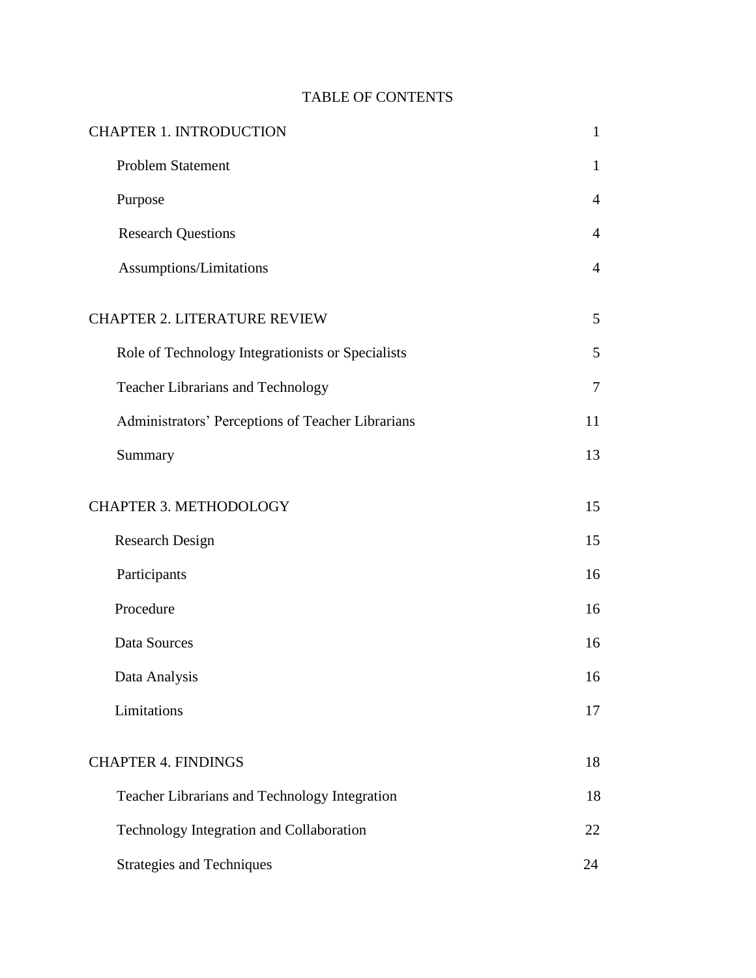## TABLE OF CONTENTS

| <b>CHAPTER 1. INTRODUCTION</b>                    | $\mathbf{1}$   |
|---------------------------------------------------|----------------|
| <b>Problem Statement</b>                          | $\mathbf{1}$   |
| Purpose                                           | $\overline{4}$ |
| <b>Research Questions</b>                         | $\overline{4}$ |
| Assumptions/Limitations                           | $\overline{4}$ |
| <b>CHAPTER 2. LITERATURE REVIEW</b>               | 5              |
| Role of Technology Integrationists or Specialists | 5              |
| <b>Teacher Librarians and Technology</b>          | $\overline{7}$ |
| Administrators' Perceptions of Teacher Librarians | 11             |
| Summary                                           | 13             |
| <b>CHAPTER 3. METHODOLOGY</b>                     | 15             |
| <b>Research Design</b>                            | 15             |
| Participants                                      | 16             |
| Procedure                                         | 16             |
| Data Sources                                      | 16             |
| Data Analysis                                     | 16             |
| Limitations                                       | 17             |
| <b>CHAPTER 4. FINDINGS</b>                        | 18             |
| Teacher Librarians and Technology Integration     | 18             |
| Technology Integration and Collaboration          | 22             |
| <b>Strategies and Techniques</b>                  | 24             |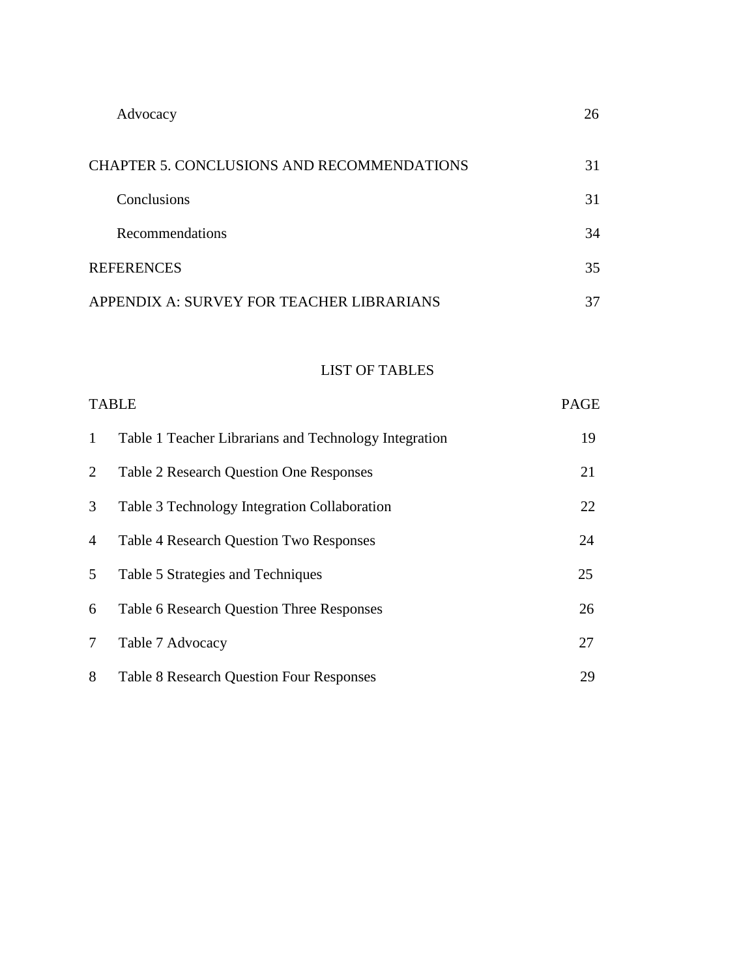| Advocacy                                   | 26 |
|--------------------------------------------|----|
| CHAPTER 5. CONCLUSIONS AND RECOMMENDATIONS | 31 |
| Conclusions                                | 31 |
| Recommendations                            | 34 |
| <b>REFERENCES</b>                          | 35 |
| APPENDIX A: SURVEY FOR TEACHER LIBRARIANS  | 37 |

## LIST OF TABLES

|              | <b>TABLE</b>                                          | <b>PAGE</b> |
|--------------|-------------------------------------------------------|-------------|
| $\mathbf{1}$ | Table 1 Teacher Librarians and Technology Integration | 19          |
| 2            | <b>Table 2 Research Question One Responses</b>        | 21          |
| 3            | Table 3 Technology Integration Collaboration          | 22          |
| 4            | <b>Table 4 Research Question Two Responses</b>        | 24          |
| $5^{\circ}$  | Table 5 Strategies and Techniques                     | 25          |
| 6            | <b>Table 6 Research Question Three Responses</b>      | 26          |
| $\tau$       | Table 7 Advocacy                                      | 27          |
| 8            | <b>Table 8 Research Question Four Responses</b>       | 29          |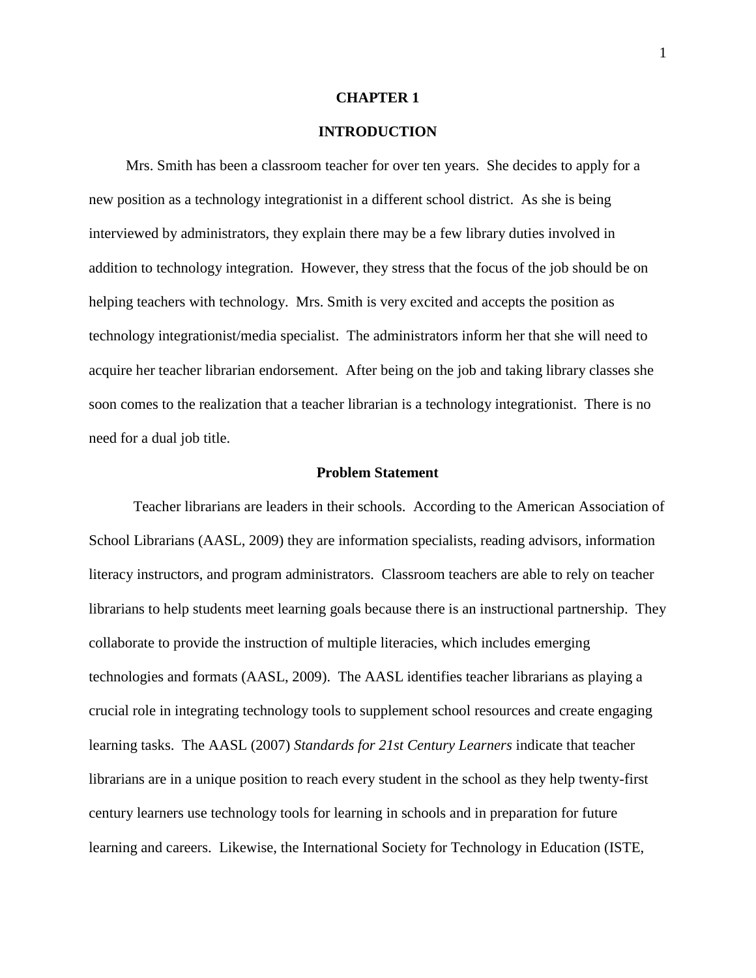#### **CHAPTER 1**

## **INTRODUCTION**

 Mrs. Smith has been a classroom teacher for over ten years. She decides to apply for a new position as a technology integrationist in a different school district. As she is being interviewed by administrators, they explain there may be a few library duties involved in addition to technology integration. However, they stress that the focus of the job should be on helping teachers with technology. Mrs. Smith is very excited and accepts the position as technology integrationist/media specialist. The administrators inform her that she will need to acquire her teacher librarian endorsement. After being on the job and taking library classes she soon comes to the realization that a teacher librarian is a technology integrationist. There is no need for a dual job title.

#### **Problem Statement**

Teacher librarians are leaders in their schools. According to the American Association of School Librarians (AASL, 2009) they are information specialists, reading advisors, information literacy instructors, and program administrators. Classroom teachers are able to rely on teacher librarians to help students meet learning goals because there is an instructional partnership. They collaborate to provide the instruction of multiple literacies, which includes emerging technologies and formats (AASL, 2009). The AASL identifies teacher librarians as playing a crucial role in integrating technology tools to supplement school resources and create engaging learning tasks. The AASL (2007) *Standards for 21st Century Learners* indicate that teacher librarians are in a unique position to reach every student in the school as they help twenty-first century learners use technology tools for learning in schools and in preparation for future learning and careers. Likewise, the International Society for Technology in Education (ISTE,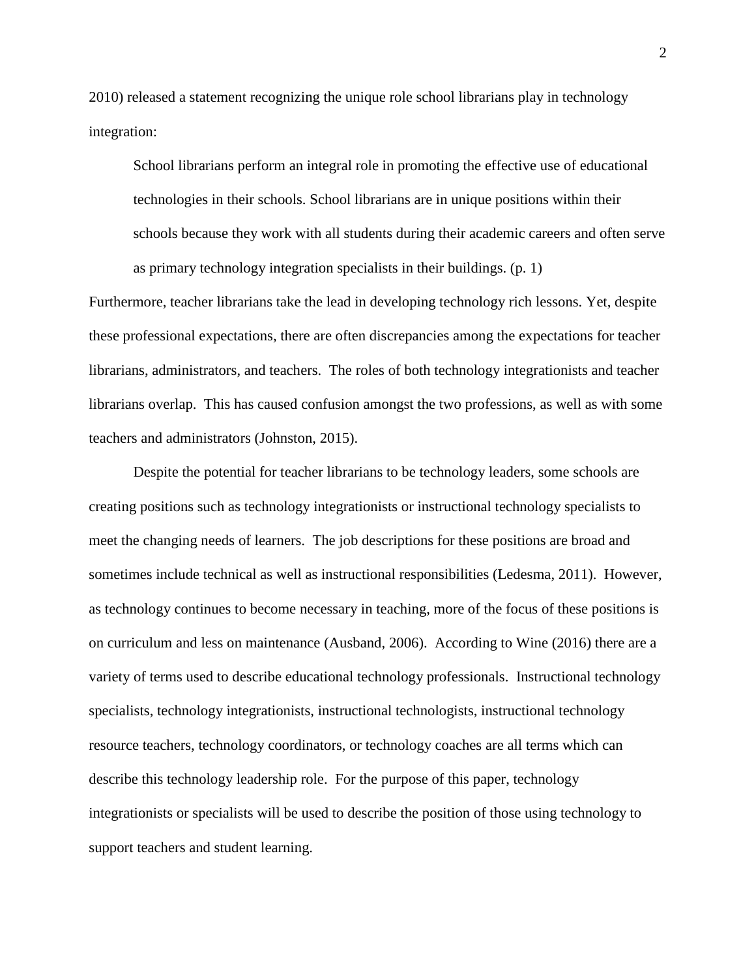2010) released a statement recognizing the unique role school librarians play in technology integration:

School librarians perform an integral role in promoting the effective use of educational technologies in their schools. School librarians are in unique positions within their schools because they work with all students during their academic careers and often serve as primary technology integration specialists in their buildings. (p. 1)

Furthermore, teacher librarians take the lead in developing technology rich lessons. Yet, despite these professional expectations, there are often discrepancies among the expectations for teacher librarians, administrators, and teachers. The roles of both technology integrationists and teacher librarians overlap. This has caused confusion amongst the two professions, as well as with some teachers and administrators (Johnston, 2015).

Despite the potential for teacher librarians to be technology leaders, some schools are creating positions such as technology integrationists or instructional technology specialists to meet the changing needs of learners. The job descriptions for these positions are broad and sometimes include technical as well as instructional responsibilities (Ledesma, 2011). However, as technology continues to become necessary in teaching, more of the focus of these positions is on curriculum and less on maintenance (Ausband, 2006). According to Wine (2016) there are a variety of terms used to describe educational technology professionals. Instructional technology specialists, technology integrationists, instructional technologists, instructional technology resource teachers, technology coordinators, or technology coaches are all terms which can describe this technology leadership role. For the purpose of this paper, technology integrationists or specialists will be used to describe the position of those using technology to support teachers and student learning.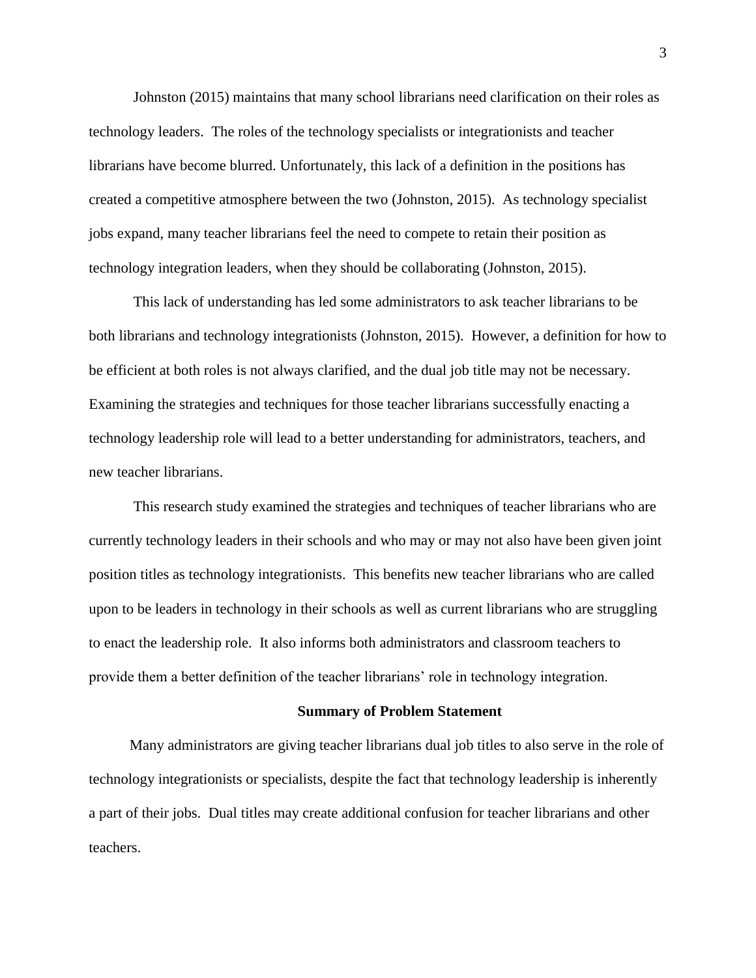Johnston (2015) maintains that many school librarians need clarification on their roles as technology leaders. The roles of the technology specialists or integrationists and teacher librarians have become blurred. Unfortunately, this lack of a definition in the positions has created a competitive atmosphere between the two (Johnston, 2015). As technology specialist jobs expand, many teacher librarians feel the need to compete to retain their position as technology integration leaders, when they should be collaborating (Johnston, 2015).

This lack of understanding has led some administrators to ask teacher librarians to be both librarians and technology integrationists (Johnston, 2015). However, a definition for how to be efficient at both roles is not always clarified, and the dual job title may not be necessary. Examining the strategies and techniques for those teacher librarians successfully enacting a technology leadership role will lead to a better understanding for administrators, teachers, and new teacher librarians.

This research study examined the strategies and techniques of teacher librarians who are currently technology leaders in their schools and who may or may not also have been given joint position titles as technology integrationists. This benefits new teacher librarians who are called upon to be leaders in technology in their schools as well as current librarians who are struggling to enact the leadership role. It also informs both administrators and classroom teachers to provide them a better definition of the teacher librarians' role in technology integration.

#### **Summary of Problem Statement**

 Many administrators are giving teacher librarians dual job titles to also serve in the role of technology integrationists or specialists, despite the fact that technology leadership is inherently a part of their jobs. Dual titles may create additional confusion for teacher librarians and other teachers.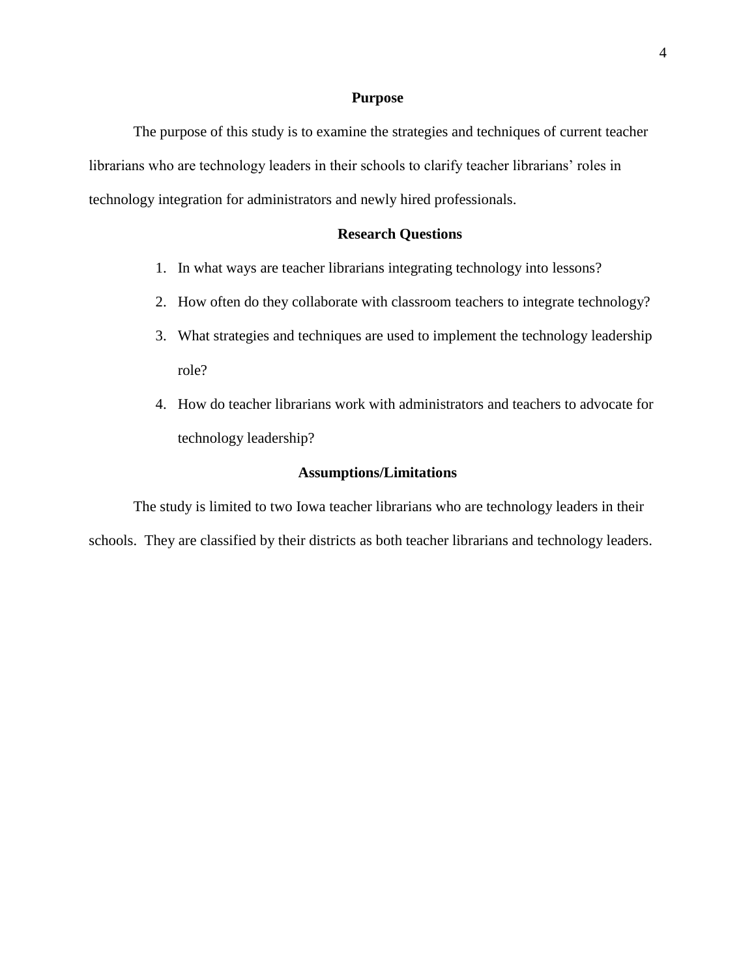#### **Purpose**

The purpose of this study is to examine the strategies and techniques of current teacher librarians who are technology leaders in their schools to clarify teacher librarians' roles in technology integration for administrators and newly hired professionals.

## **Research Questions**

- 1. In what ways are teacher librarians integrating technology into lessons?
- 2. How often do they collaborate with classroom teachers to integrate technology?
- 3. What strategies and techniques are used to implement the technology leadership role?
- 4. How do teacher librarians work with administrators and teachers to advocate for technology leadership?

#### **Assumptions/Limitations**

The study is limited to two Iowa teacher librarians who are technology leaders in their schools. They are classified by their districts as both teacher librarians and technology leaders.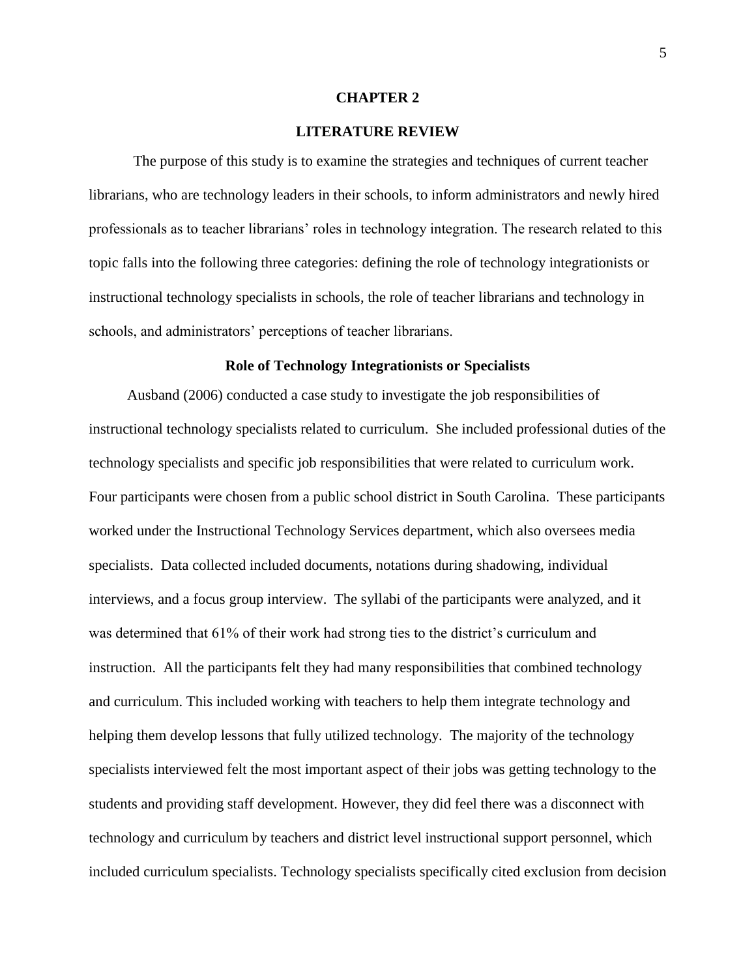#### **CHAPTER 2**

## **LITERATURE REVIEW**

The purpose of this study is to examine the strategies and techniques of current teacher librarians, who are technology leaders in their schools, to inform administrators and newly hired professionals as to teacher librarians' roles in technology integration. The research related to this topic falls into the following three categories: defining the role of technology integrationists or instructional technology specialists in schools, the role of teacher librarians and technology in schools, and administrators' perceptions of teacher librarians.

#### **Role of Technology Integrationists or Specialists**

 Ausband (2006) conducted a case study to investigate the job responsibilities of instructional technology specialists related to curriculum. She included professional duties of the technology specialists and specific job responsibilities that were related to curriculum work. Four participants were chosen from a public school district in South Carolina. These participants worked under the Instructional Technology Services department, which also oversees media specialists. Data collected included documents, notations during shadowing, individual interviews, and a focus group interview. The syllabi of the participants were analyzed, and it was determined that 61% of their work had strong ties to the district's curriculum and instruction. All the participants felt they had many responsibilities that combined technology and curriculum. This included working with teachers to help them integrate technology and helping them develop lessons that fully utilized technology. The majority of the technology specialists interviewed felt the most important aspect of their jobs was getting technology to the students and providing staff development. However, they did feel there was a disconnect with technology and curriculum by teachers and district level instructional support personnel, which included curriculum specialists. Technology specialists specifically cited exclusion from decision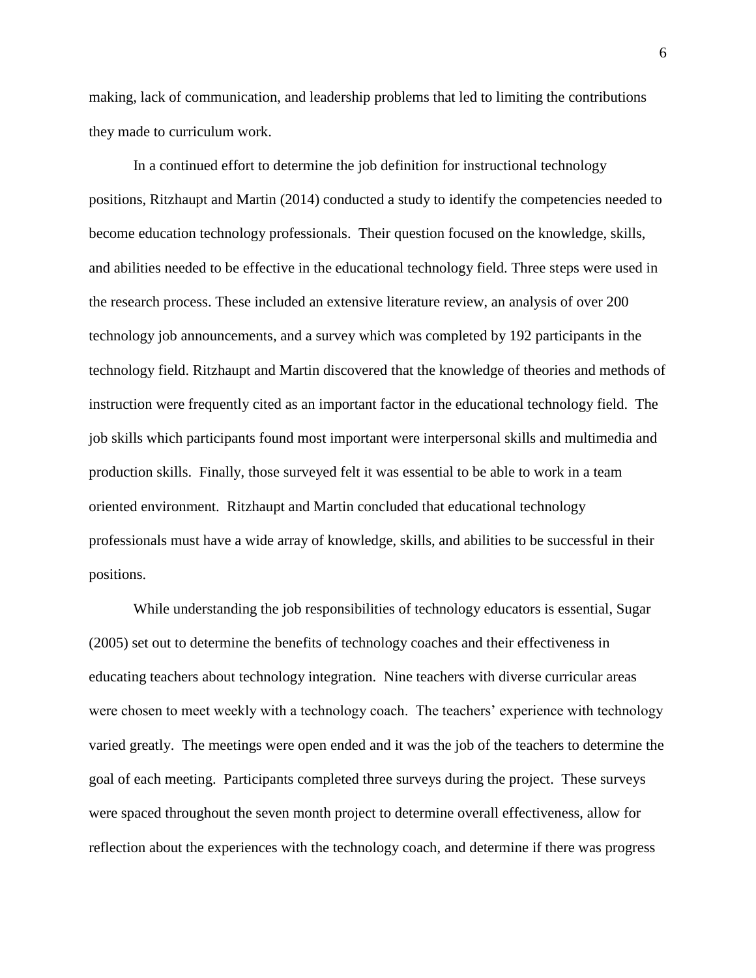making, lack of communication, and leadership problems that led to limiting the contributions they made to curriculum work.

In a continued effort to determine the job definition for instructional technology positions, Ritzhaupt and Martin (2014) conducted a study to identify the competencies needed to become education technology professionals. Their question focused on the knowledge, skills, and abilities needed to be effective in the educational technology field. Three steps were used in the research process. These included an extensive literature review, an analysis of over 200 technology job announcements, and a survey which was completed by 192 participants in the technology field. Ritzhaupt and Martin discovered that the knowledge of theories and methods of instruction were frequently cited as an important factor in the educational technology field. The job skills which participants found most important were interpersonal skills and multimedia and production skills. Finally, those surveyed felt it was essential to be able to work in a team oriented environment. Ritzhaupt and Martin concluded that educational technology professionals must have a wide array of knowledge, skills, and abilities to be successful in their positions.

While understanding the job responsibilities of technology educators is essential, Sugar (2005) set out to determine the benefits of technology coaches and their effectiveness in educating teachers about technology integration. Nine teachers with diverse curricular areas were chosen to meet weekly with a technology coach. The teachers' experience with technology varied greatly. The meetings were open ended and it was the job of the teachers to determine the goal of each meeting. Participants completed three surveys during the project. These surveys were spaced throughout the seven month project to determine overall effectiveness, allow for reflection about the experiences with the technology coach, and determine if there was progress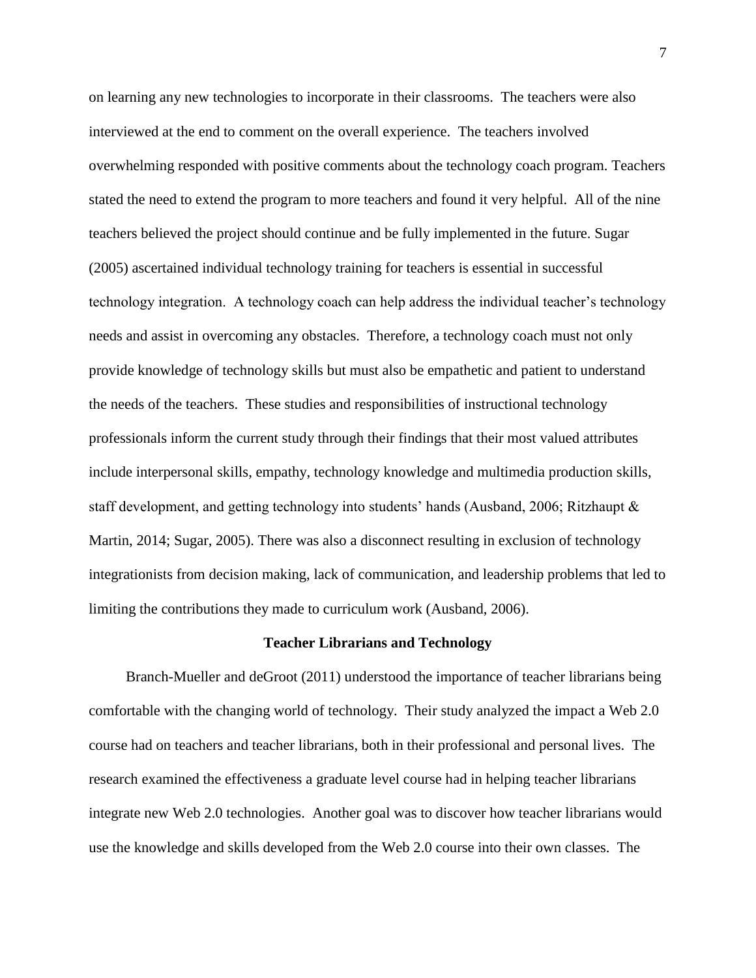on learning any new technologies to incorporate in their classrooms. The teachers were also interviewed at the end to comment on the overall experience. The teachers involved overwhelming responded with positive comments about the technology coach program. Teachers stated the need to extend the program to more teachers and found it very helpful. All of the nine teachers believed the project should continue and be fully implemented in the future. Sugar (2005) ascertained individual technology training for teachers is essential in successful technology integration. A technology coach can help address the individual teacher's technology needs and assist in overcoming any obstacles. Therefore, a technology coach must not only provide knowledge of technology skills but must also be empathetic and patient to understand the needs of the teachers. These studies and responsibilities of instructional technology professionals inform the current study through their findings that their most valued attributes include interpersonal skills, empathy, technology knowledge and multimedia production skills, staff development, and getting technology into students' hands (Ausband, 2006; Ritzhaupt & Martin, 2014; Sugar, 2005). There was also a disconnect resulting in exclusion of technology integrationists from decision making, lack of communication, and leadership problems that led to limiting the contributions they made to curriculum work (Ausband, 2006).

#### **Teacher Librarians and Technology**

Branch-Mueller and deGroot (2011) understood the importance of teacher librarians being comfortable with the changing world of technology. Their study analyzed the impact a Web 2.0 course had on teachers and teacher librarians, both in their professional and personal lives. The research examined the effectiveness a graduate level course had in helping teacher librarians integrate new Web 2.0 technologies. Another goal was to discover how teacher librarians would use the knowledge and skills developed from the Web 2.0 course into their own classes. The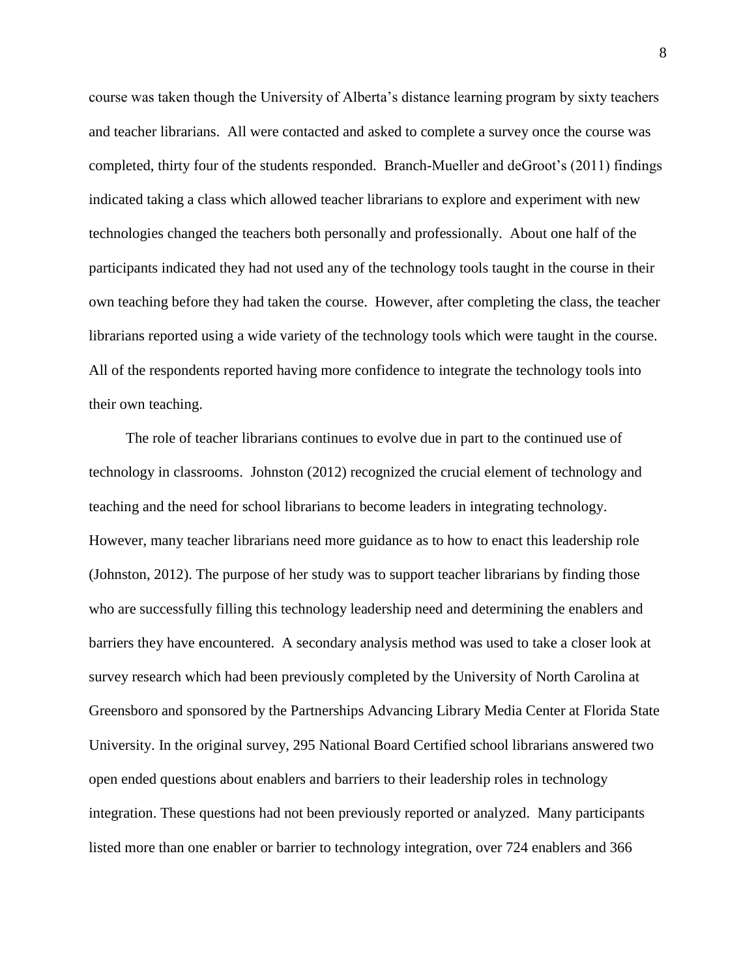course was taken though the University of Alberta's distance learning program by sixty teachers and teacher librarians. All were contacted and asked to complete a survey once the course was completed, thirty four of the students responded. Branch-Mueller and deGroot's (2011) findings indicated taking a class which allowed teacher librarians to explore and experiment with new technologies changed the teachers both personally and professionally. About one half of the participants indicated they had not used any of the technology tools taught in the course in their own teaching before they had taken the course. However, after completing the class, the teacher librarians reported using a wide variety of the technology tools which were taught in the course. All of the respondents reported having more confidence to integrate the technology tools into their own teaching.

 The role of teacher librarians continues to evolve due in part to the continued use of technology in classrooms. Johnston (2012) recognized the crucial element of technology and teaching and the need for school librarians to become leaders in integrating technology. However, many teacher librarians need more guidance as to how to enact this leadership role (Johnston, 2012). The purpose of her study was to support teacher librarians by finding those who are successfully filling this technology leadership need and determining the enablers and barriers they have encountered. A secondary analysis method was used to take a closer look at survey research which had been previously completed by the University of North Carolina at Greensboro and sponsored by the Partnerships Advancing Library Media Center at Florida State University. In the original survey, 295 National Board Certified school librarians answered two open ended questions about enablers and barriers to their leadership roles in technology integration. These questions had not been previously reported or analyzed. Many participants listed more than one enabler or barrier to technology integration, over 724 enablers and 366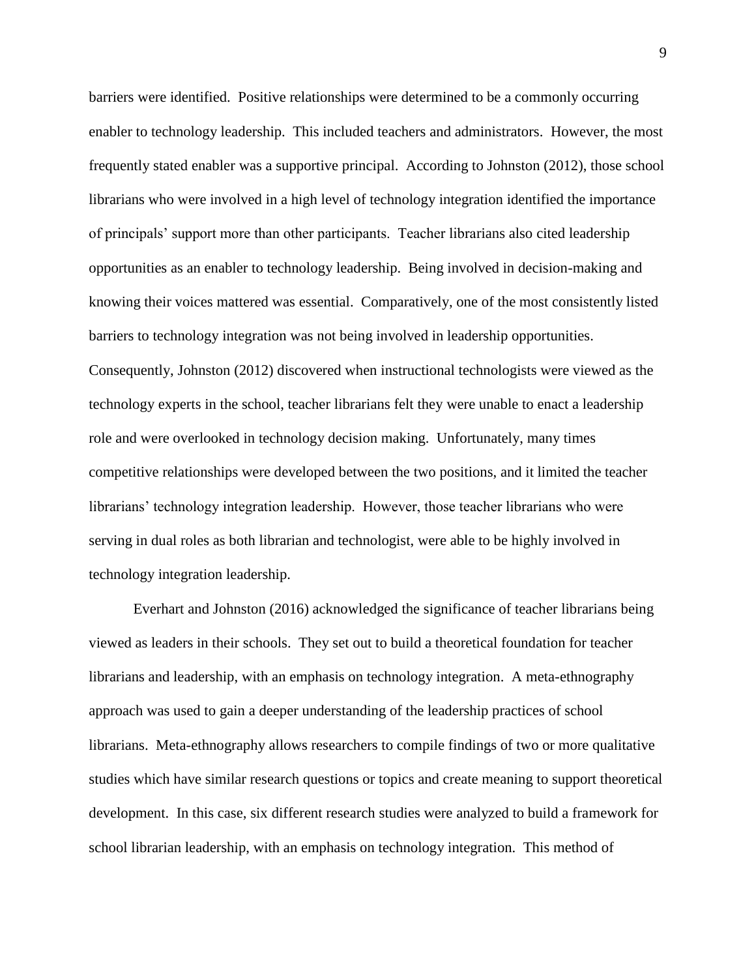barriers were identified. Positive relationships were determined to be a commonly occurring enabler to technology leadership. This included teachers and administrators. However, the most frequently stated enabler was a supportive principal. According to Johnston (2012), those school librarians who were involved in a high level of technology integration identified the importance of principals' support more than other participants. Teacher librarians also cited leadership opportunities as an enabler to technology leadership. Being involved in decision-making and knowing their voices mattered was essential. Comparatively, one of the most consistently listed barriers to technology integration was not being involved in leadership opportunities. Consequently, Johnston (2012) discovered when instructional technologists were viewed as the technology experts in the school, teacher librarians felt they were unable to enact a leadership role and were overlooked in technology decision making. Unfortunately, many times competitive relationships were developed between the two positions, and it limited the teacher librarians' technology integration leadership. However, those teacher librarians who were serving in dual roles as both librarian and technologist, were able to be highly involved in technology integration leadership.

Everhart and Johnston (2016) acknowledged the significance of teacher librarians being viewed as leaders in their schools. They set out to build a theoretical foundation for teacher librarians and leadership, with an emphasis on technology integration. A meta-ethnography approach was used to gain a deeper understanding of the leadership practices of school librarians. Meta-ethnography allows researchers to compile findings of two or more qualitative studies which have similar research questions or topics and create meaning to support theoretical development. In this case, six different research studies were analyzed to build a framework for school librarian leadership, with an emphasis on technology integration. This method of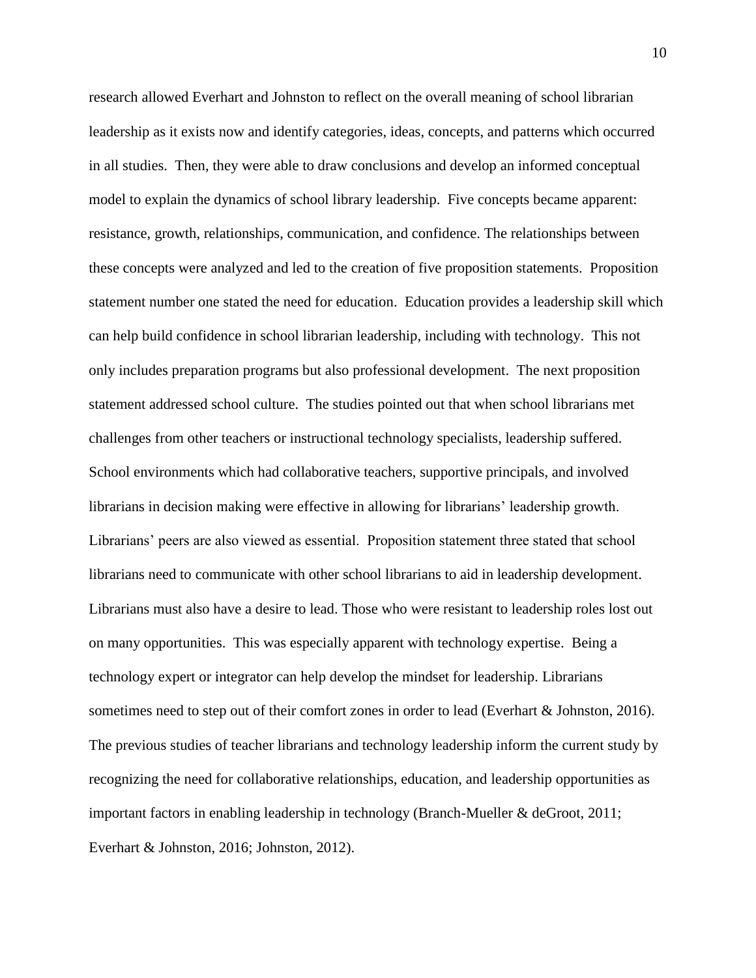research allowed Everhart and Johnston to reflect on the overall meaning of school librarian leadership as it exists now and identify categories, ideas, concepts, and patterns which occurred in all studies. Then, they were able to draw conclusions and develop an informed conceptual model to explain the dynamics of school library leadership. Five concepts became apparent: resistance, growth, relationships, communication, and confidence. The relationships between these concepts were analyzed and led to the creation of five proposition statements. Proposition statement number one stated the need for education. Education provides a leadership skill which can help build confidence in school librarian leadership, including with technology. This not only includes preparation programs but also professional development. The next proposition statement addressed school culture. The studies pointed out that when school librarians met challenges from other teachers or instructional technology specialists, leadership suffered. School environments which had collaborative teachers, supportive principals, and involved librarians in decision making were effective in allowing for librarians' leadership growth. Librarians' peers are also viewed as essential. Proposition statement three stated that school librarians need to communicate with other school librarians to aid in leadership development. Librarians must also have a desire to lead. Those who were resistant to leadership roles lost out on many opportunities. This was especially apparent with technology expertise. Being a technology expert or integrator can help develop the mindset for leadership. Librarians sometimes need to step out of their comfort zones in order to lead (Everhart & Johnston, 2016). The previous studies of teacher librarians and technology leadership inform the current study by recognizing the need for collaborative relationships, education, and leadership opportunities as important factors in enabling leadership in technology (Branch-Mueller & deGroot, 2011; Everhart & Johnston, 2016; Johnston, 2012).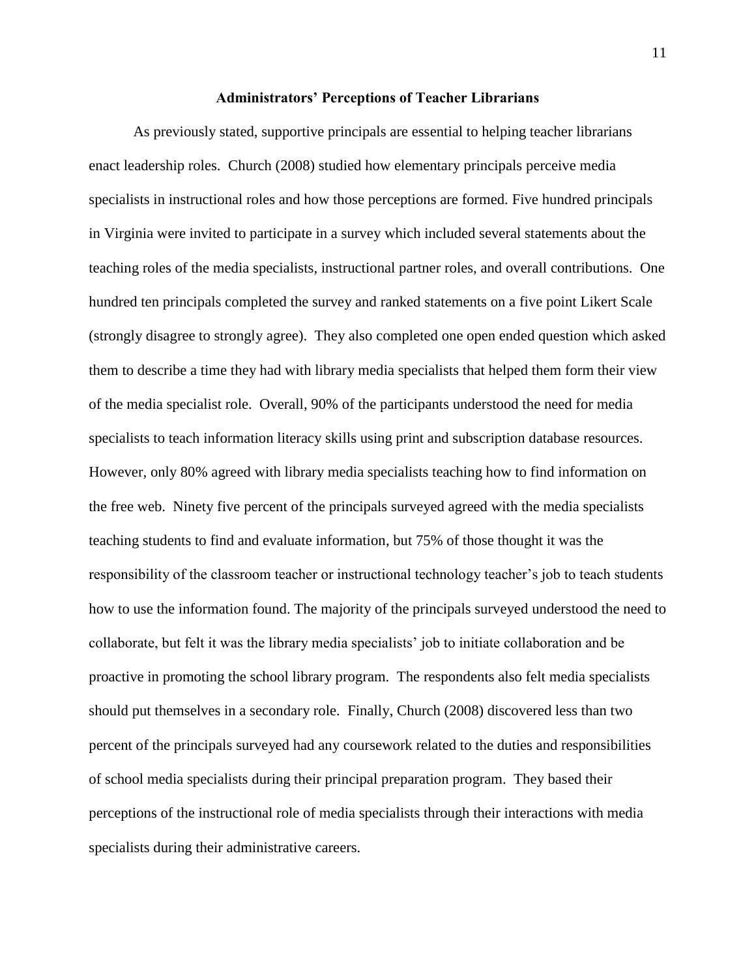#### **Administrators' Perceptions of Teacher Librarians**

As previously stated, supportive principals are essential to helping teacher librarians enact leadership roles. Church (2008) studied how elementary principals perceive media specialists in instructional roles and how those perceptions are formed. Five hundred principals in Virginia were invited to participate in a survey which included several statements about the teaching roles of the media specialists, instructional partner roles, and overall contributions. One hundred ten principals completed the survey and ranked statements on a five point Likert Scale (strongly disagree to strongly agree). They also completed one open ended question which asked them to describe a time they had with library media specialists that helped them form their view of the media specialist role. Overall, 90% of the participants understood the need for media specialists to teach information literacy skills using print and subscription database resources. However, only 80% agreed with library media specialists teaching how to find information on the free web. Ninety five percent of the principals surveyed agreed with the media specialists teaching students to find and evaluate information, but 75% of those thought it was the responsibility of the classroom teacher or instructional technology teacher's job to teach students how to use the information found. The majority of the principals surveyed understood the need to collaborate, but felt it was the library media specialists' job to initiate collaboration and be proactive in promoting the school library program. The respondents also felt media specialists should put themselves in a secondary role. Finally, Church (2008) discovered less than two percent of the principals surveyed had any coursework related to the duties and responsibilities of school media specialists during their principal preparation program. They based their perceptions of the instructional role of media specialists through their interactions with media specialists during their administrative careers.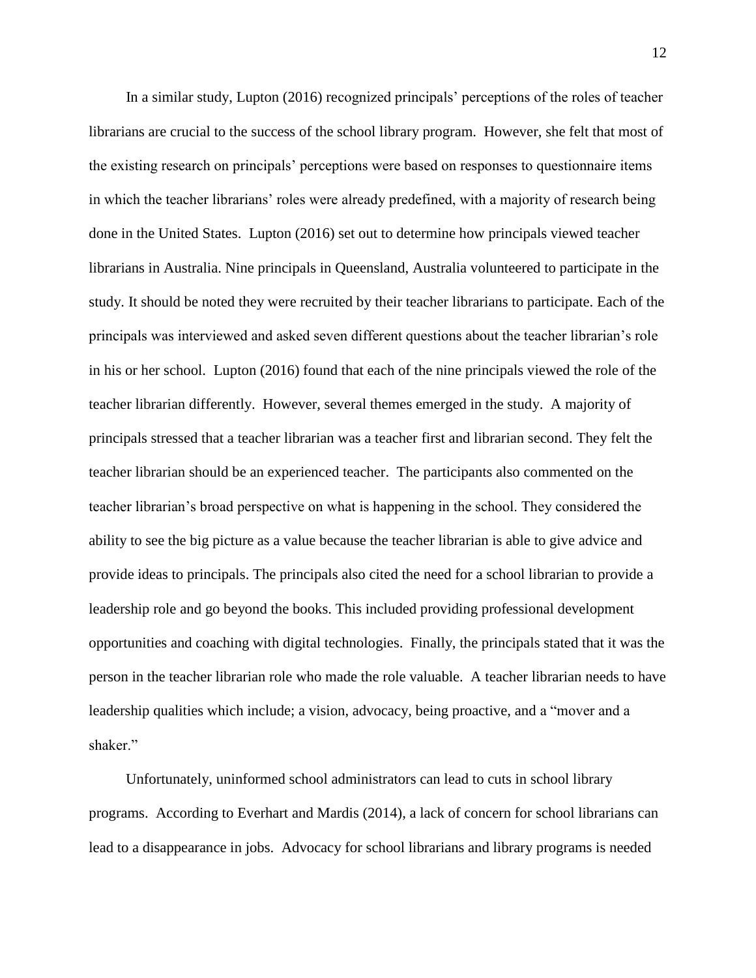In a similar study, Lupton (2016) recognized principals' perceptions of the roles of teacher librarians are crucial to the success of the school library program. However, she felt that most of the existing research on principals' perceptions were based on responses to questionnaire items in which the teacher librarians' roles were already predefined, with a majority of research being done in the United States. Lupton (2016) set out to determine how principals viewed teacher librarians in Australia. Nine principals in Queensland, Australia volunteered to participate in the study. It should be noted they were recruited by their teacher librarians to participate. Each of the principals was interviewed and asked seven different questions about the teacher librarian's role in his or her school. Lupton (2016) found that each of the nine principals viewed the role of the teacher librarian differently. However, several themes emerged in the study. A majority of principals stressed that a teacher librarian was a teacher first and librarian second. They felt the teacher librarian should be an experienced teacher. The participants also commented on the teacher librarian's broad perspective on what is happening in the school. They considered the ability to see the big picture as a value because the teacher librarian is able to give advice and provide ideas to principals. The principals also cited the need for a school librarian to provide a leadership role and go beyond the books. This included providing professional development opportunities and coaching with digital technologies. Finally, the principals stated that it was the person in the teacher librarian role who made the role valuable. A teacher librarian needs to have leadership qualities which include; a vision, advocacy, being proactive, and a "mover and a shaker."

 Unfortunately, uninformed school administrators can lead to cuts in school library programs. According to Everhart and Mardis (2014), a lack of concern for school librarians can lead to a disappearance in jobs. Advocacy for school librarians and library programs is needed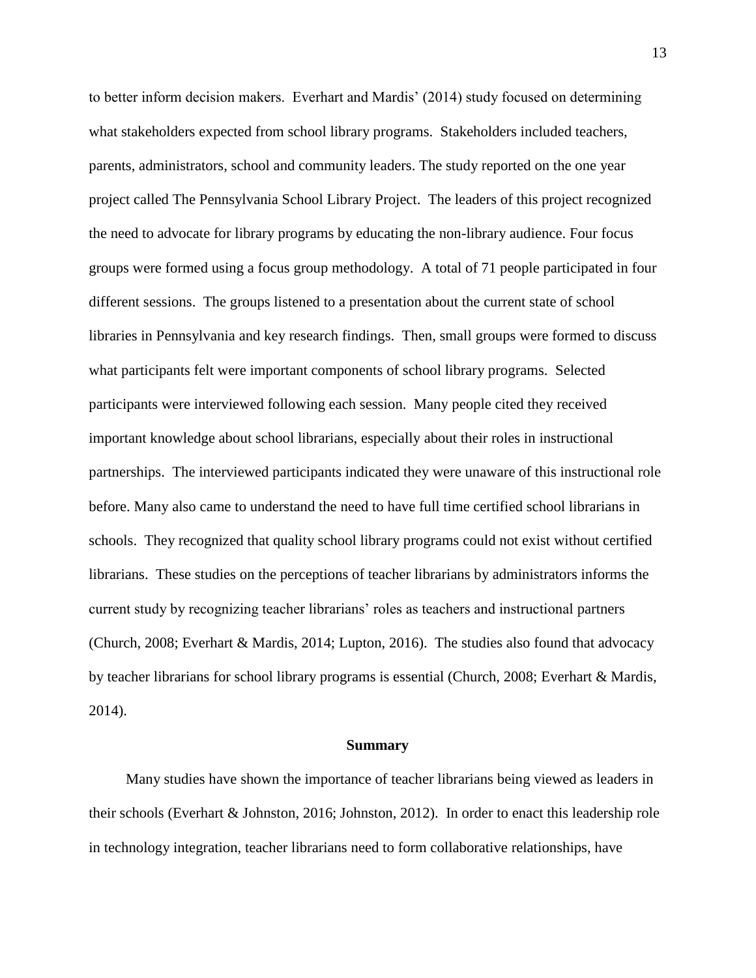to better inform decision makers. Everhart and Mardis' (2014) study focused on determining what stakeholders expected from school library programs. Stakeholders included teachers, parents, administrators, school and community leaders. The study reported on the one year project called The Pennsylvania School Library Project. The leaders of this project recognized the need to advocate for library programs by educating the non-library audience. Four focus groups were formed using a focus group methodology. A total of 71 people participated in four different sessions. The groups listened to a presentation about the current state of school libraries in Pennsylvania and key research findings. Then, small groups were formed to discuss what participants felt were important components of school library programs. Selected participants were interviewed following each session. Many people cited they received important knowledge about school librarians, especially about their roles in instructional partnerships. The interviewed participants indicated they were unaware of this instructional role before. Many also came to understand the need to have full time certified school librarians in schools. They recognized that quality school library programs could not exist without certified librarians. These studies on the perceptions of teacher librarians by administrators informs the current study by recognizing teacher librarians' roles as teachers and instructional partners (Church, 2008; Everhart & Mardis, 2014; Lupton, 2016). The studies also found that advocacy by teacher librarians for school library programs is essential (Church, 2008; Everhart & Mardis, 2014).

#### **Summary**

 Many studies have shown the importance of teacher librarians being viewed as leaders in their schools (Everhart & Johnston, 2016; Johnston, 2012). In order to enact this leadership role in technology integration, teacher librarians need to form collaborative relationships, have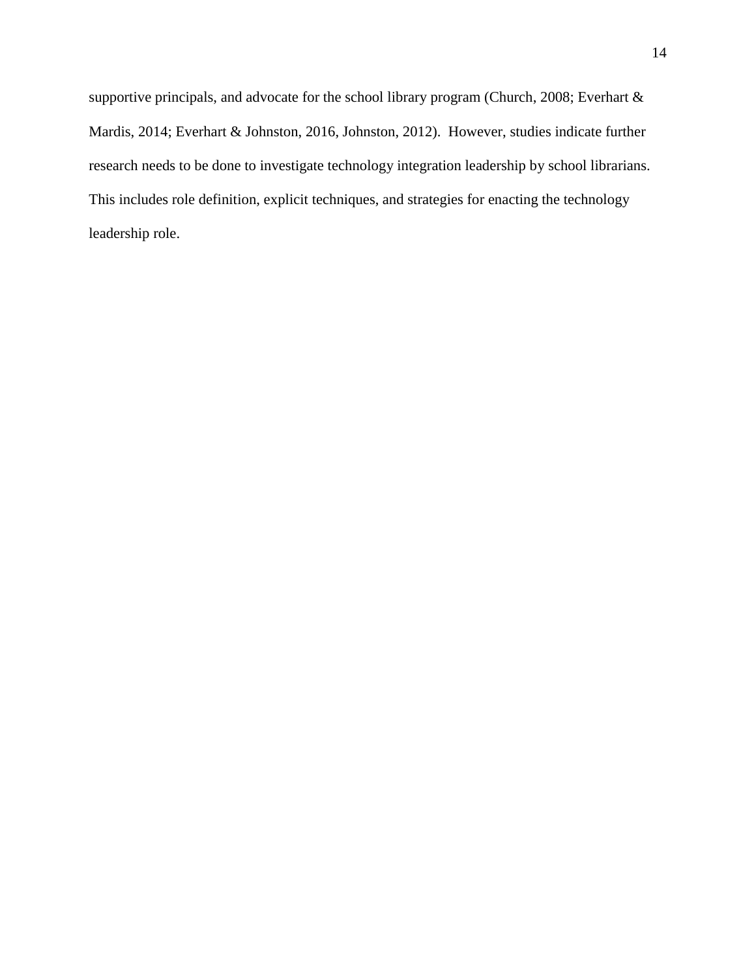supportive principals, and advocate for the school library program (Church, 2008; Everhart & Mardis, 2014; Everhart & Johnston, 2016, Johnston, 2012). However, studies indicate further research needs to be done to investigate technology integration leadership by school librarians. This includes role definition, explicit techniques, and strategies for enacting the technology leadership role.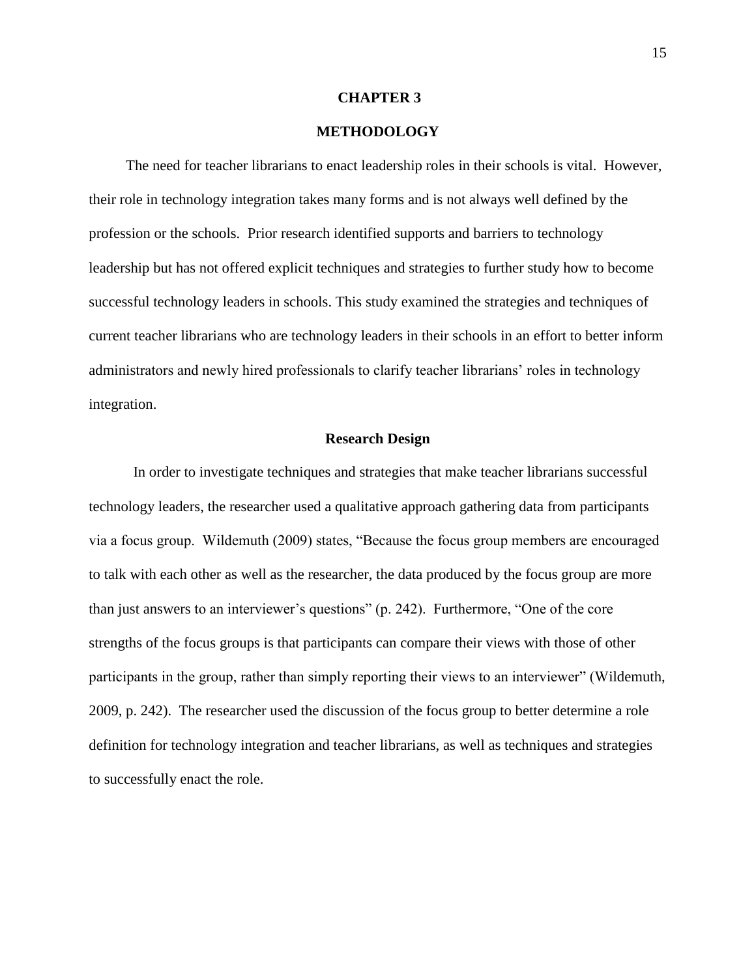#### **CHAPTER 3**

## **METHODOLOGY**

The need for teacher librarians to enact leadership roles in their schools is vital. However, their role in technology integration takes many forms and is not always well defined by the profession or the schools. Prior research identified supports and barriers to technology leadership but has not offered explicit techniques and strategies to further study how to become successful technology leaders in schools. This study examined the strategies and techniques of current teacher librarians who are technology leaders in their schools in an effort to better inform administrators and newly hired professionals to clarify teacher librarians' roles in technology integration.

#### **Research Design**

In order to investigate techniques and strategies that make teacher librarians successful technology leaders, the researcher used a qualitative approach gathering data from participants via a focus group. Wildemuth (2009) states, "Because the focus group members are encouraged to talk with each other as well as the researcher, the data produced by the focus group are more than just answers to an interviewer's questions" (p. 242). Furthermore, "One of the core strengths of the focus groups is that participants can compare their views with those of other participants in the group, rather than simply reporting their views to an interviewer" (Wildemuth, 2009, p. 242). The researcher used the discussion of the focus group to better determine a role definition for technology integration and teacher librarians, as well as techniques and strategies to successfully enact the role.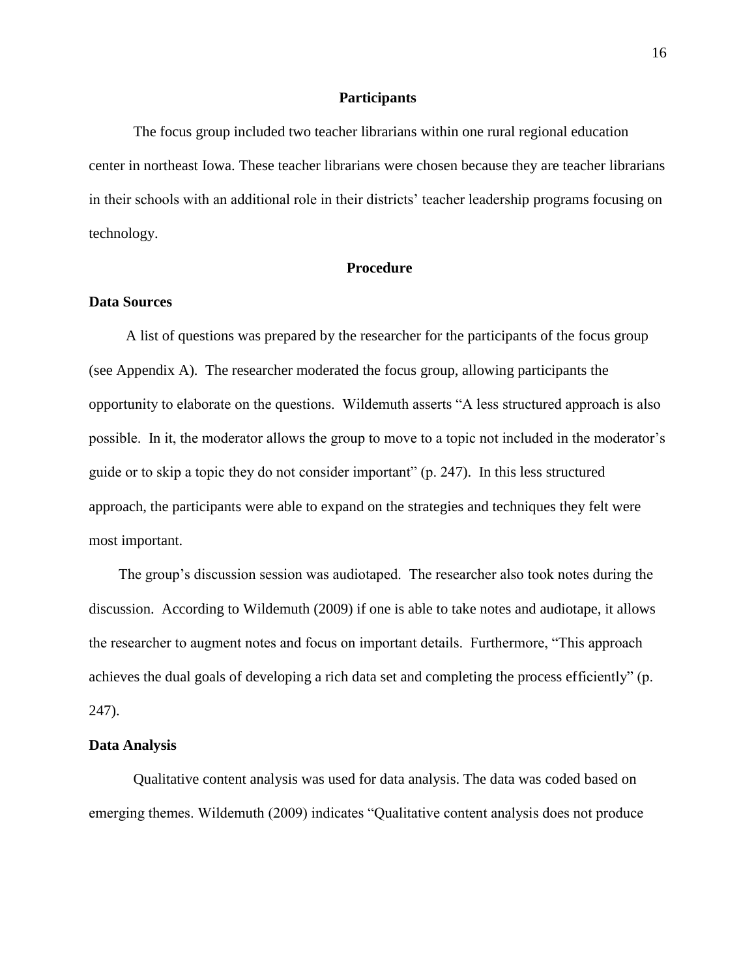### **Participants**

The focus group included two teacher librarians within one rural regional education center in northeast Iowa. These teacher librarians were chosen because they are teacher librarians in their schools with an additional role in their districts' teacher leadership programs focusing on technology.

## **Procedure**

### **Data Sources**

A list of questions was prepared by the researcher for the participants of the focus group (see Appendix A). The researcher moderated the focus group, allowing participants the opportunity to elaborate on the questions. Wildemuth asserts "A less structured approach is also possible. In it, the moderator allows the group to move to a topic not included in the moderator's guide or to skip a topic they do not consider important" (p. 247). In this less structured approach, the participants were able to expand on the strategies and techniques they felt were most important.

 The group's discussion session was audiotaped. The researcher also took notes during the discussion. According to Wildemuth (2009) if one is able to take notes and audiotape, it allows the researcher to augment notes and focus on important details. Furthermore, "This approach achieves the dual goals of developing a rich data set and completing the process efficiently" (p. 247).

#### **Data Analysis**

Qualitative content analysis was used for data analysis. The data was coded based on emerging themes. Wildemuth (2009) indicates "Qualitative content analysis does not produce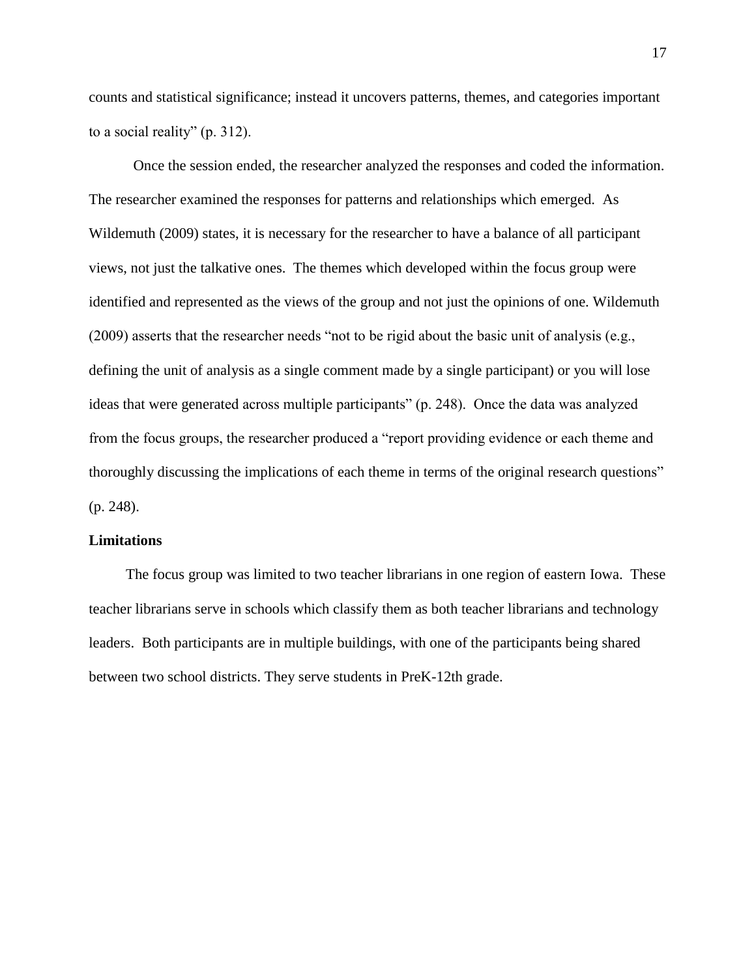counts and statistical significance; instead it uncovers patterns, themes, and categories important to a social reality" (p. 312).

Once the session ended, the researcher analyzed the responses and coded the information. The researcher examined the responses for patterns and relationships which emerged. As Wildemuth (2009) states, it is necessary for the researcher to have a balance of all participant views, not just the talkative ones. The themes which developed within the focus group were identified and represented as the views of the group and not just the opinions of one. Wildemuth (2009) asserts that the researcher needs "not to be rigid about the basic unit of analysis (e.g., defining the unit of analysis as a single comment made by a single participant) or you will lose ideas that were generated across multiple participants" (p. 248). Once the data was analyzed from the focus groups, the researcher produced a "report providing evidence or each theme and thoroughly discussing the implications of each theme in terms of the original research questions" (p. 248).

### **Limitations**

 The focus group was limited to two teacher librarians in one region of eastern Iowa. These teacher librarians serve in schools which classify them as both teacher librarians and technology leaders. Both participants are in multiple buildings, with one of the participants being shared between two school districts. They serve students in PreK-12th grade.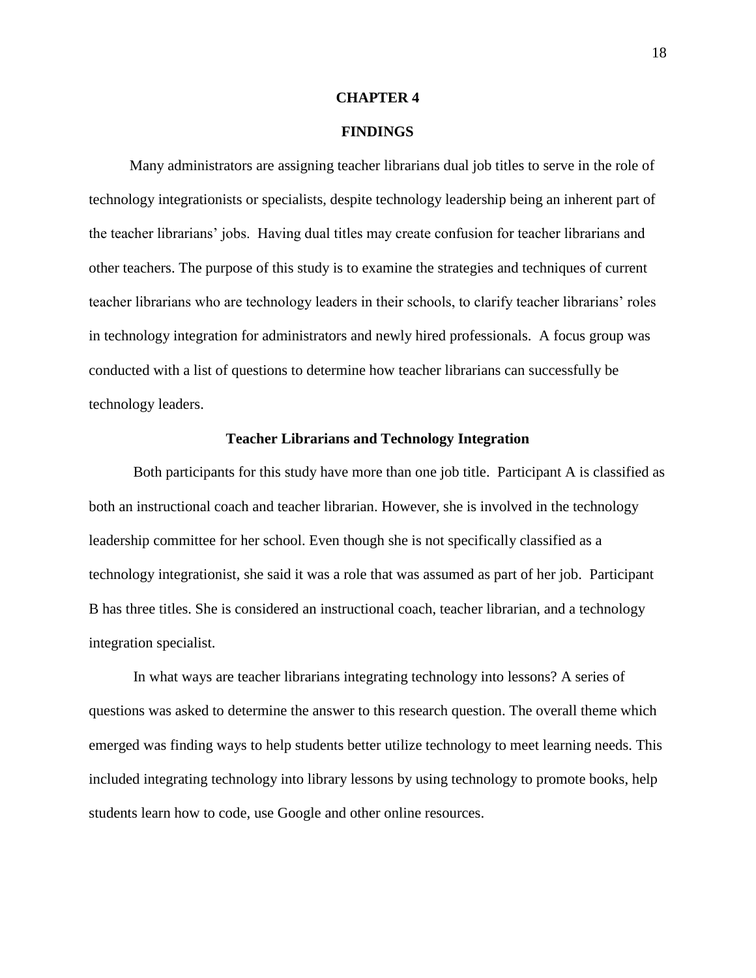#### **CHAPTER 4**

### **FINDINGS**

 Many administrators are assigning teacher librarians dual job titles to serve in the role of technology integrationists or specialists, despite technology leadership being an inherent part of the teacher librarians' jobs. Having dual titles may create confusion for teacher librarians and other teachers. The purpose of this study is to examine the strategies and techniques of current teacher librarians who are technology leaders in their schools, to clarify teacher librarians' roles in technology integration for administrators and newly hired professionals. A focus group was conducted with a list of questions to determine how teacher librarians can successfully be technology leaders.

#### **Teacher Librarians and Technology Integration**

Both participants for this study have more than one job title. Participant A is classified as both an instructional coach and teacher librarian. However, she is involved in the technology leadership committee for her school. Even though she is not specifically classified as a technology integrationist, she said it was a role that was assumed as part of her job. Participant B has three titles. She is considered an instructional coach, teacher librarian, and a technology integration specialist.

In what ways are teacher librarians integrating technology into lessons? A series of questions was asked to determine the answer to this research question. The overall theme which emerged was finding ways to help students better utilize technology to meet learning needs. This included integrating technology into library lessons by using technology to promote books, help students learn how to code, use Google and other online resources.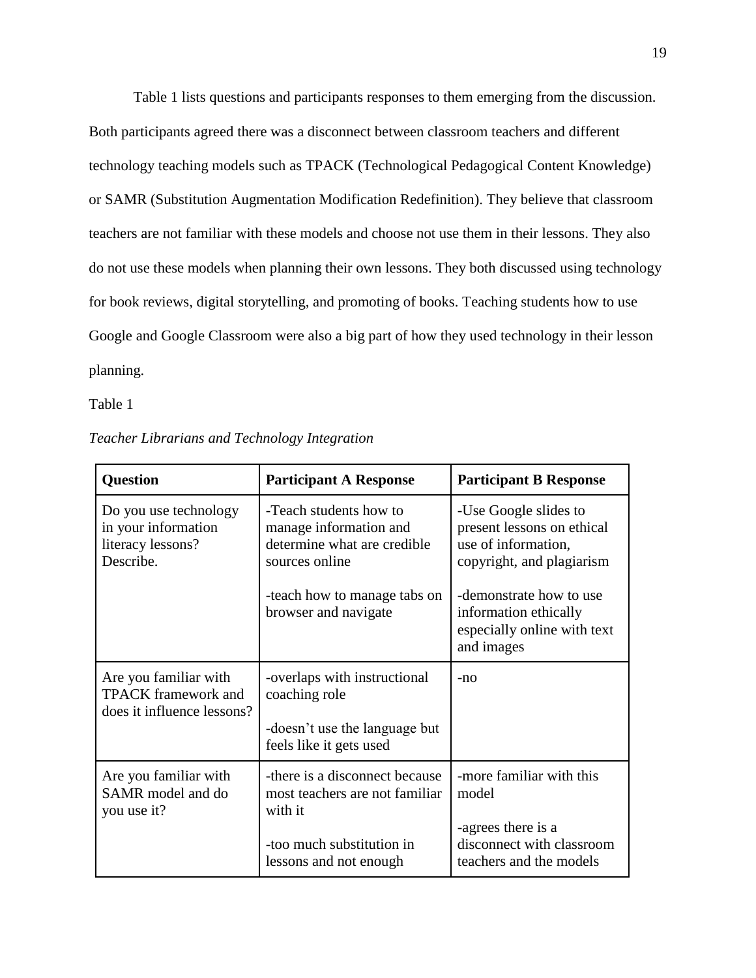Table 1 lists questions and participants responses to them emerging from the discussion. Both participants agreed there was a disconnect between classroom teachers and different technology teaching models such as TPACK (Technological Pedagogical Content Knowledge) or SAMR (Substitution Augmentation Modification Redefinition). They believe that classroom teachers are not familiar with these models and choose not use them in their lessons. They also do not use these models when planning their own lessons. They both discussed using technology for book reviews, digital storytelling, and promoting of books. Teaching students how to use Google and Google Classroom were also a big part of how they used technology in their lesson planning.

Table 1

| <b>Question</b>                                                                   | <b>Participant A Response</b>                                                                                                       | <b>Participant B Response</b>                                                                                   |
|-----------------------------------------------------------------------------------|-------------------------------------------------------------------------------------------------------------------------------------|-----------------------------------------------------------------------------------------------------------------|
| Do you use technology<br>in your information<br>literacy lessons?<br>Describe.    | -Teach students how to<br>manage information and<br>determine what are credible<br>sources online                                   | -Use Google slides to<br>present lessons on ethical<br>use of information,<br>copyright, and plagiarism         |
|                                                                                   | -teach how to manage tabs on<br>browser and navigate                                                                                | -demonstrate how to use<br>information ethically<br>especially online with text<br>and images                   |
| Are you familiar with<br><b>TPACK</b> framework and<br>does it influence lessons? | -overlaps with instructional<br>coaching role<br>-doesn't use the language but<br>feels like it gets used                           | $-nO$                                                                                                           |
| Are you familiar with<br>SAMR model and do<br>you use it?                         | -there is a disconnect because<br>most teachers are not familiar<br>with it<br>-too much substitution in<br>lessons and not enough. | -more familiar with this<br>model<br>-agrees there is a<br>disconnect with classroom<br>teachers and the models |

*Teacher Librarians and Technology Integration*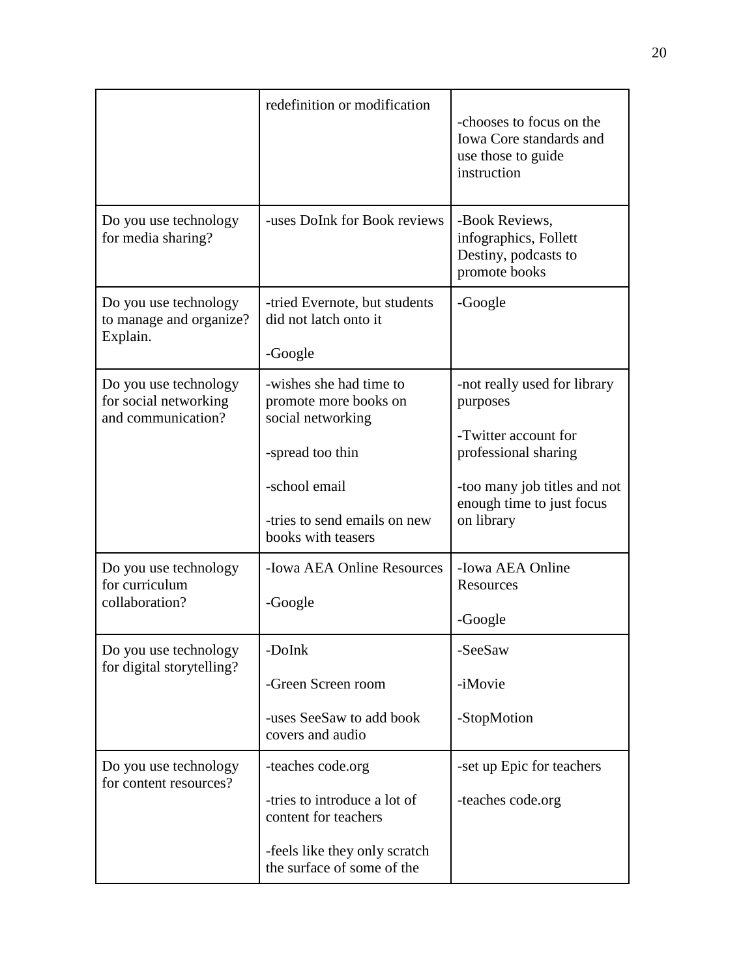|                                                                      | redefinition or modification                                                                                                                                     | -chooses to focus on the<br>Iowa Core standards and<br>use those to guide<br>instruction                                                                            |
|----------------------------------------------------------------------|------------------------------------------------------------------------------------------------------------------------------------------------------------------|---------------------------------------------------------------------------------------------------------------------------------------------------------------------|
| Do you use technology<br>for media sharing?                          | -uses DoInk for Book reviews                                                                                                                                     | -Book Reviews,<br>infographics, Follett<br>Destiny, podcasts to<br>promote books                                                                                    |
| Do you use technology<br>to manage and organize?<br>Explain.         | -tried Evernote, but students<br>did not latch onto it<br>-Google                                                                                                | -Google                                                                                                                                                             |
| Do you use technology<br>for social networking<br>and communication? | -wishes she had time to<br>promote more books on<br>social networking<br>-spread too thin<br>-school email<br>-tries to send emails on new<br>books with teasers | -not really used for library<br>purposes<br>-Twitter account for<br>professional sharing<br>-too many job titles and not<br>enough time to just focus<br>on library |
| Do you use technology<br>for curriculum<br>collaboration?            | -Iowa AEA Online Resources<br>-Google                                                                                                                            | -Iowa AEA Online<br>Resources<br>-Google                                                                                                                            |
| Do you use technology<br>for digital storytelling?                   | -DoInk<br>-Green Screen room<br>-uses SeeSaw to add book<br>covers and audio                                                                                     | -SeeSaw<br>-iMovie<br>-StopMotion                                                                                                                                   |
| Do you use technology<br>for content resources?                      | -teaches code.org<br>-tries to introduce a lot of<br>content for teachers<br>-feels like they only scratch<br>the surface of some of the                         | -set up Epic for teachers<br>-teaches code.org                                                                                                                      |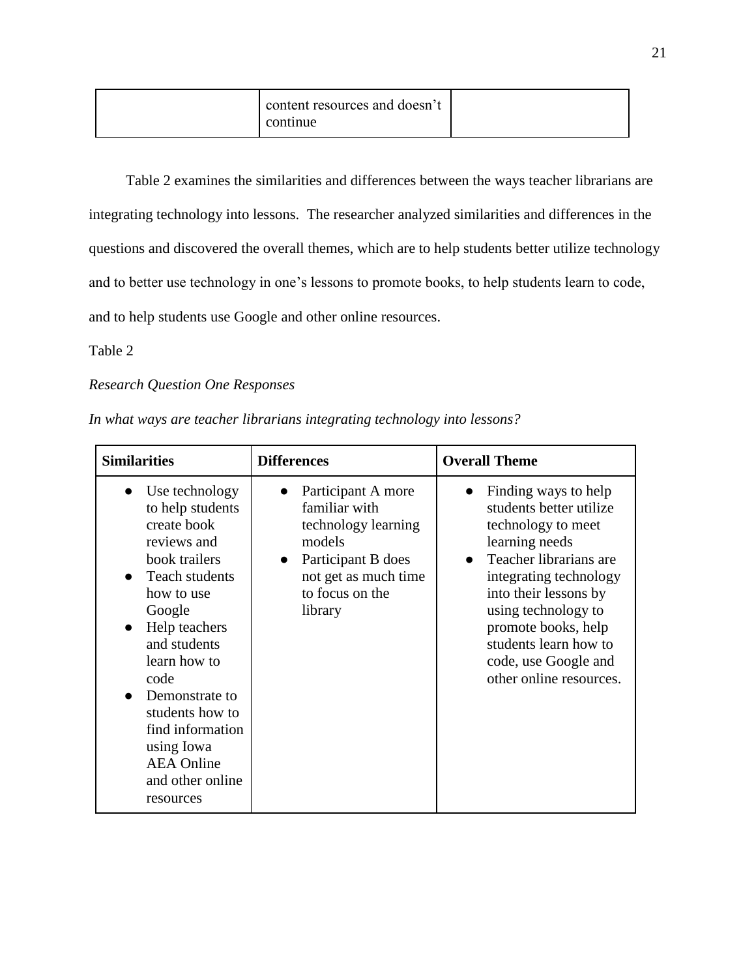| content resources and doesn't<br>continue |
|-------------------------------------------|
|-------------------------------------------|

 Table 2 examines the similarities and differences between the ways teacher librarians are integrating technology into lessons. The researcher analyzed similarities and differences in the questions and discovered the overall themes, which are to help students better utilize technology and to better use technology in one's lessons to promote books, to help students learn to code, and to help students use Google and other online resources.

## Table 2

## *Research Question One Responses*

| In what ways are teacher librarians integrating technology into lessons? |  |  |  |
|--------------------------------------------------------------------------|--|--|--|
|                                                                          |  |  |  |

| <b>Similarities</b>                                                                                                                                                                                                                                                                                                                         | <b>Differences</b>                                                                                                                                            | <b>Overall Theme</b>                                                                                                                                                                                                                                                                                        |
|---------------------------------------------------------------------------------------------------------------------------------------------------------------------------------------------------------------------------------------------------------------------------------------------------------------------------------------------|---------------------------------------------------------------------------------------------------------------------------------------------------------------|-------------------------------------------------------------------------------------------------------------------------------------------------------------------------------------------------------------------------------------------------------------------------------------------------------------|
| Use technology<br>$\bullet$<br>to help students<br>create book<br>reviews and<br>book trailers<br>Teach students<br>how to use<br>Google<br>Help teachers<br>$\bullet$<br>and students<br>learn how to<br>code<br>Demonstrate to<br>students how to<br>find information<br>using Iowa<br><b>AEA</b> Online<br>and other online<br>resources | Participant A more<br>familiar with<br>technology learning<br>models<br>Participant B does<br>$\bullet$<br>not get as much time<br>to focus on the<br>library | Finding ways to help<br>$\bullet$<br>students better utilize<br>technology to meet<br>learning needs<br>Teacher librarians are<br>integrating technology<br>into their lessons by<br>using technology to<br>promote books, help<br>students learn how to<br>code, use Google and<br>other online resources. |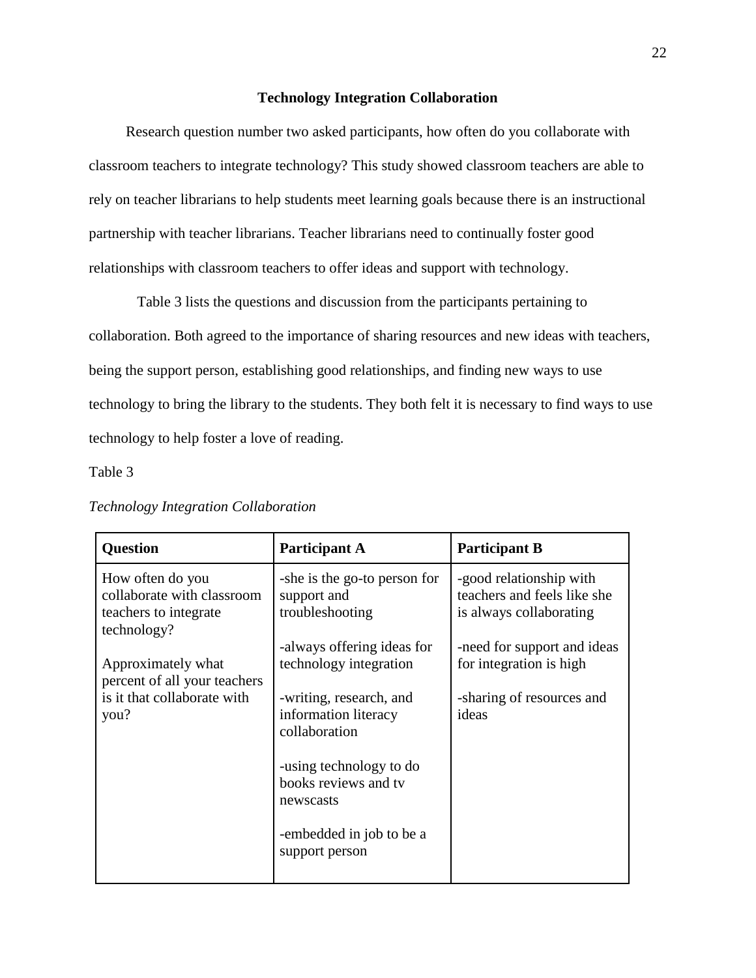### **Technology Integration Collaboration**

 Research question number two asked participants, how often do you collaborate with classroom teachers to integrate technology? This study showed classroom teachers are able to rely on teacher librarians to help students meet learning goals because there is an instructional partnership with teacher librarians. Teacher librarians need to continually foster good relationships with classroom teachers to offer ideas and support with technology.

Table 3 lists the questions and discussion from the participants pertaining to collaboration. Both agreed to the importance of sharing resources and new ideas with teachers, being the support person, establishing good relationships, and finding new ways to use technology to bring the library to the students. They both felt it is necessary to find ways to use technology to help foster a love of reading.

Table 3

| <b>Question</b>                                                                        | <b>Participant A</b>                                             | <b>Participant B</b>                                                              |
|----------------------------------------------------------------------------------------|------------------------------------------------------------------|-----------------------------------------------------------------------------------|
| How often do you<br>collaborate with classroom<br>teachers to integrate<br>technology? | -she is the go-to person for<br>support and<br>troubleshooting   | -good relationship with<br>teachers and feels like she<br>is always collaborating |
| Approximately what                                                                     | -always offering ideas for<br>technology integration             | -need for support and ideas<br>for integration is high                            |
| percent of all your teachers<br>is it that collaborate with<br>you?                    | -writing, research, and<br>information literacy<br>collaboration | -sharing of resources and<br>ideas                                                |
|                                                                                        | -using technology to do<br>books reviews and tv<br>newscasts     |                                                                                   |
|                                                                                        | -embedded in job to be a<br>support person                       |                                                                                   |

## *Technology Integration Collaboration*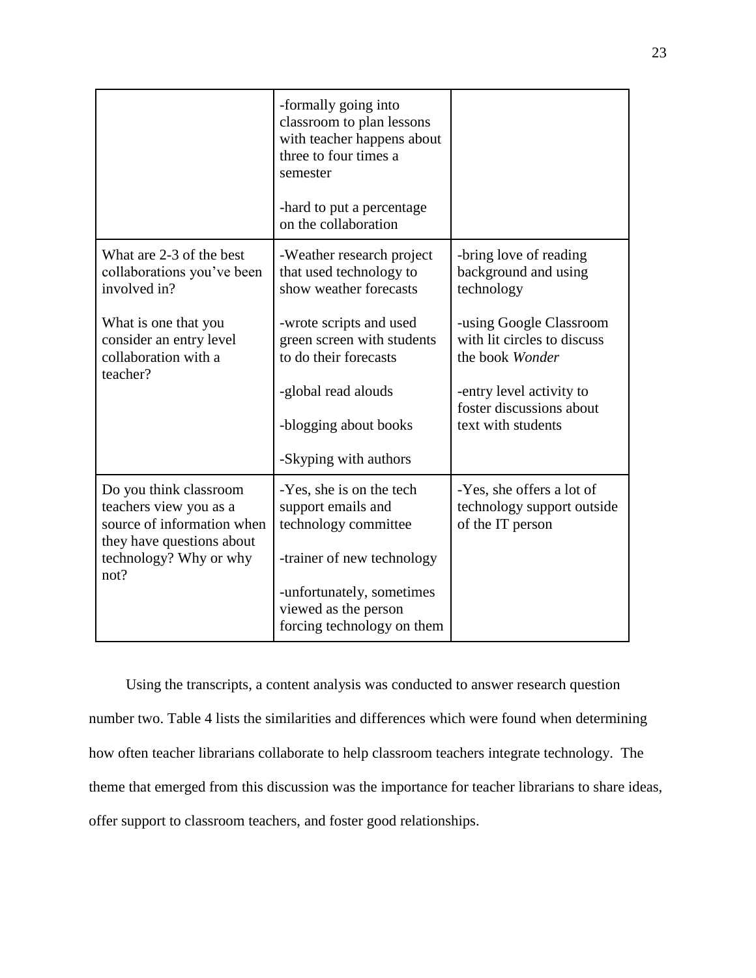|                                                                                                             | -formally going into<br>classroom to plan lessons<br>with teacher happens about<br>three to four times a<br>semester<br>-hard to put a percentage<br>on the collaboration |                                                                             |
|-------------------------------------------------------------------------------------------------------------|---------------------------------------------------------------------------------------------------------------------------------------------------------------------------|-----------------------------------------------------------------------------|
| What are 2-3 of the best<br>collaborations you've been<br>involved in?                                      | -Weather research project<br>that used technology to<br>show weather forecasts                                                                                            | -bring love of reading<br>background and using<br>technology                |
| What is one that you<br>consider an entry level<br>collaboration with a<br>teacher?                         | -wrote scripts and used<br>green screen with students<br>to do their forecasts                                                                                            | -using Google Classroom<br>with lit circles to discuss<br>the book Wonder   |
|                                                                                                             | -global read alouds                                                                                                                                                       | -entry level activity to<br>foster discussions about                        |
|                                                                                                             | -blogging about books                                                                                                                                                     | text with students                                                          |
|                                                                                                             | -Skyping with authors                                                                                                                                                     |                                                                             |
| Do you think classroom<br>teachers view you as a<br>source of information when<br>they have questions about | -Yes, she is on the tech<br>support emails and<br>technology committee                                                                                                    | -Yes, she offers a lot of<br>technology support outside<br>of the IT person |
| technology? Why or why<br>not?                                                                              | -trainer of new technology                                                                                                                                                |                                                                             |
|                                                                                                             | -unfortunately, sometimes<br>viewed as the person<br>forcing technology on them                                                                                           |                                                                             |

 Using the transcripts, a content analysis was conducted to answer research question number two. Table 4 lists the similarities and differences which were found when determining how often teacher librarians collaborate to help classroom teachers integrate technology. The theme that emerged from this discussion was the importance for teacher librarians to share ideas, offer support to classroom teachers, and foster good relationships.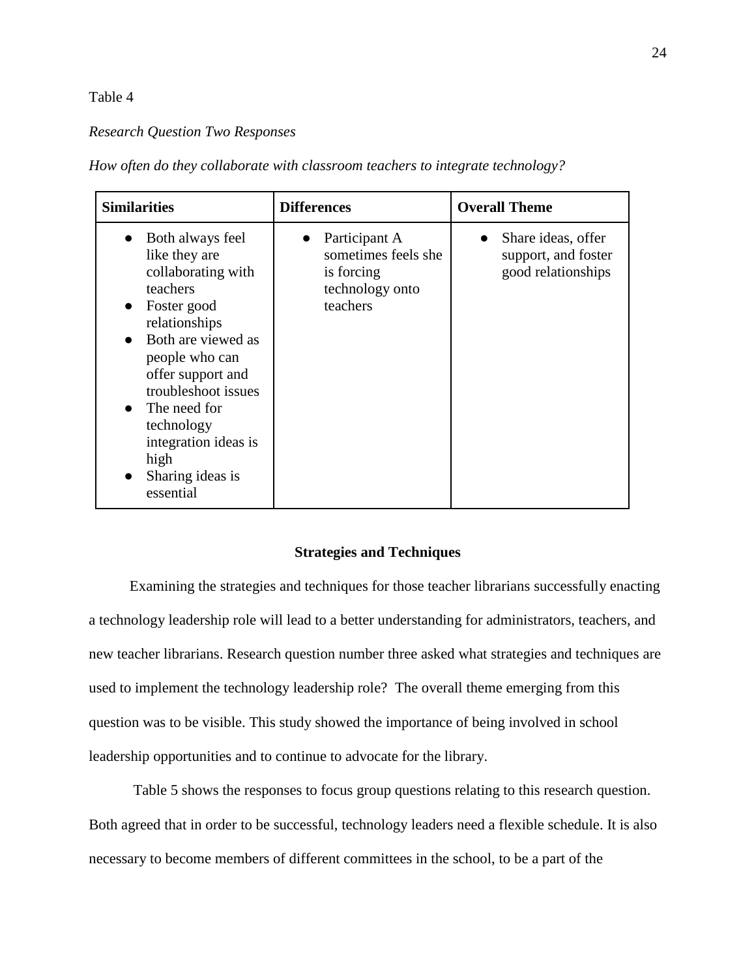## Table 4

## *Research Question Two Responses*

*How often do they collaborate with classroom teachers to integrate technology?* 

| <b>Similarities</b>                                                                                                                                                                                                                                                                                 | <b>Differences</b>                                                                | <b>Overall Theme</b>                                            |
|-----------------------------------------------------------------------------------------------------------------------------------------------------------------------------------------------------------------------------------------------------------------------------------------------------|-----------------------------------------------------------------------------------|-----------------------------------------------------------------|
| Both always feel<br>like they are<br>collaborating with<br>teachers<br>Foster good<br>relationships<br>Both are viewed as<br>people who can<br>offer support and<br>troubleshoot issues<br>The need for<br>$\bullet$<br>technology<br>integration ideas is<br>high<br>Sharing ideas is<br>essential | Participant A<br>sometimes feels she<br>is forcing<br>technology onto<br>teachers | Share ideas, offer<br>support, and foster<br>good relationships |

### **Strategies and Techniques**

Examining the strategies and techniques for those teacher librarians successfully enacting a technology leadership role will lead to a better understanding for administrators, teachers, and new teacher librarians. Research question number three asked what strategies and techniques are used to implement the technology leadership role? The overall theme emerging from this question was to be visible. This study showed the importance of being involved in school leadership opportunities and to continue to advocate for the library.

Table 5 shows the responses to focus group questions relating to this research question. Both agreed that in order to be successful, technology leaders need a flexible schedule. It is also necessary to become members of different committees in the school, to be a part of the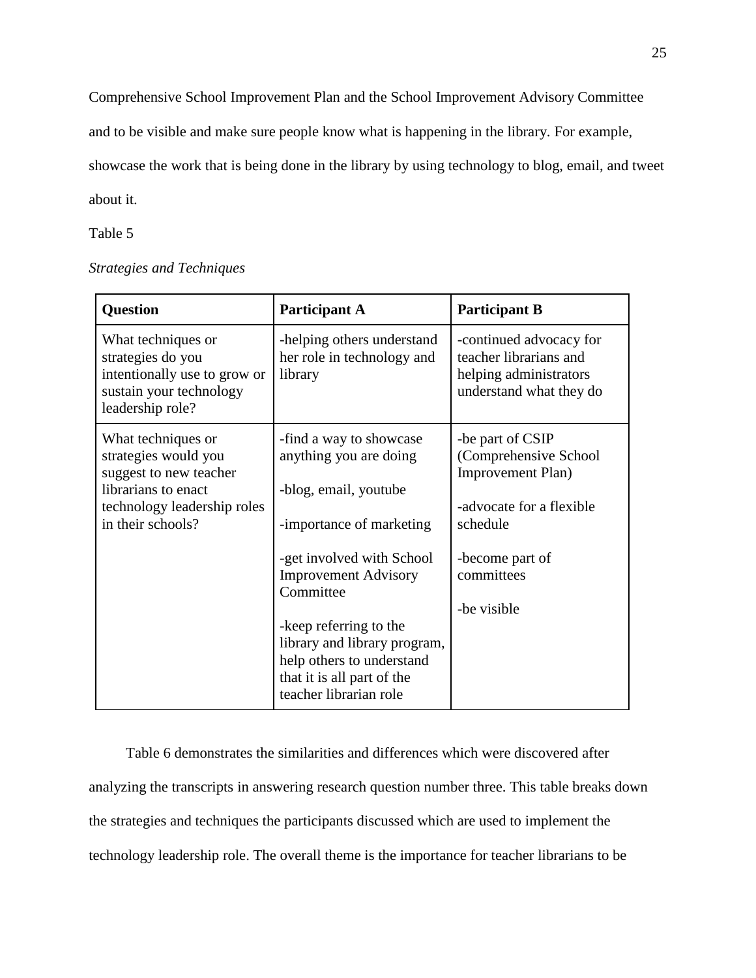Comprehensive School Improvement Plan and the School Improvement Advisory Committee

and to be visible and make sure people know what is happening in the library. For example,

showcase the work that is being done in the library by using technology to blog, email, and tweet

about it.

Table 5

|  | <b>Strategies and Techniques</b> |
|--|----------------------------------|
|--|----------------------------------|

| <b>Question</b>                                                                                                                                 | <b>Participant A</b>                                                                                                                                                            | <b>Participant B</b>                                                                                                                                   |
|-------------------------------------------------------------------------------------------------------------------------------------------------|---------------------------------------------------------------------------------------------------------------------------------------------------------------------------------|--------------------------------------------------------------------------------------------------------------------------------------------------------|
| What techniques or<br>strategies do you<br>intentionally use to grow or<br>sustain your technology<br>leadership role?                          | -helping others understand<br>her role in technology and<br>library                                                                                                             | -continued advocacy for<br>teacher librarians and<br>helping administrators<br>understand what they do                                                 |
| What techniques or<br>strategies would you<br>suggest to new teacher<br>librarians to enact<br>technology leadership roles<br>in their schools? | -find a way to showcase<br>anything you are doing<br>-blog, email, youtube<br>-importance of marketing<br>-get involved with School<br><b>Improvement Advisory</b><br>Committee | -be part of CSIP<br>(Comprehensive School<br>Improvement Plan)<br>-advocate for a flexible<br>schedule<br>-become part of<br>committees<br>-be visible |
|                                                                                                                                                 | -keep referring to the<br>library and library program,<br>help others to understand<br>that it is all part of the<br>teacher librarian role                                     |                                                                                                                                                        |

 Table 6 demonstrates the similarities and differences which were discovered after analyzing the transcripts in answering research question number three. This table breaks down the strategies and techniques the participants discussed which are used to implement the technology leadership role. The overall theme is the importance for teacher librarians to be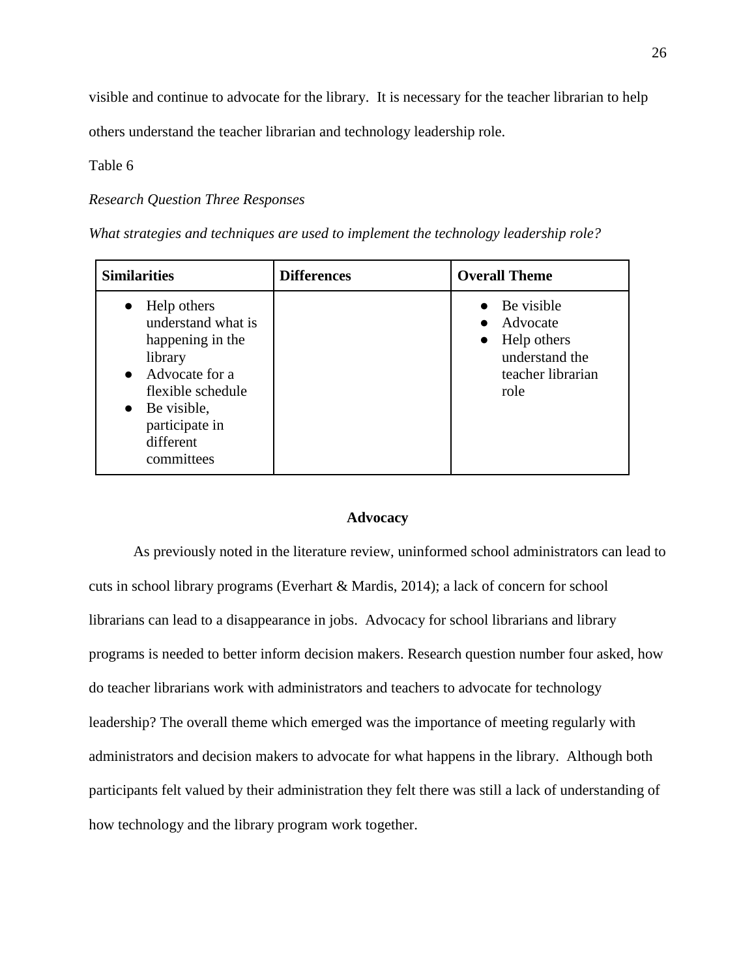visible and continue to advocate for the library. It is necessary for the teacher librarian to help

others understand the teacher librarian and technology leadership role.

## Table 6

## *Research Question Three Responses*

| <b>Similarities</b>                                                                                                                                                                                  | <b>Differences</b> | <b>Overall Theme</b>                                                                              |
|------------------------------------------------------------------------------------------------------------------------------------------------------------------------------------------------------|--------------------|---------------------------------------------------------------------------------------------------|
| Help others<br>$\bullet$<br>understand what is<br>happening in the<br>library<br>$\bullet$ Advocate for a<br>flexible schedule<br>$\bullet$ Be visible,<br>participate in<br>different<br>committees |                    | Be visible<br>Advocate<br>Help others<br>$\bullet$<br>understand the<br>teacher librarian<br>role |

## **Advocacy**

As previously noted in the literature review, uninformed school administrators can lead to cuts in school library programs (Everhart & Mardis, 2014); a lack of concern for school librarians can lead to a disappearance in jobs. Advocacy for school librarians and library programs is needed to better inform decision makers. Research question number four asked, how do teacher librarians work with administrators and teachers to advocate for technology leadership? The overall theme which emerged was the importance of meeting regularly with administrators and decision makers to advocate for what happens in the library. Although both participants felt valued by their administration they felt there was still a lack of understanding of how technology and the library program work together.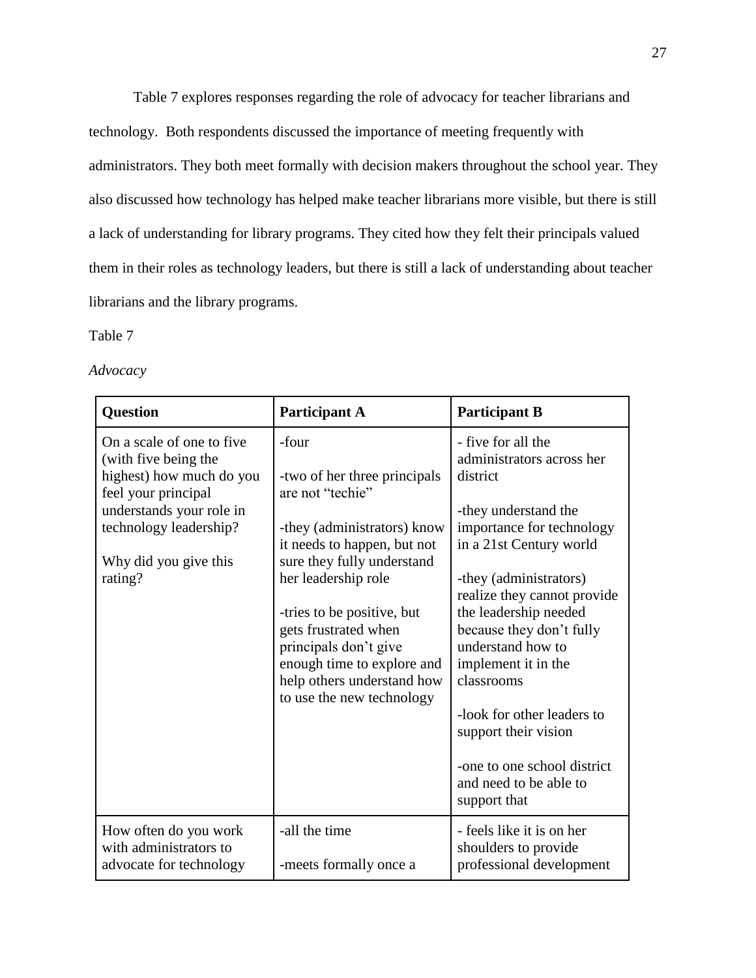Table 7 explores responses regarding the role of advocacy for teacher librarians and technology. Both respondents discussed the importance of meeting frequently with administrators. They both meet formally with decision makers throughout the school year. They also discussed how technology has helped make teacher librarians more visible, but there is still a lack of understanding for library programs. They cited how they felt their principals valued them in their roles as technology leaders, but there is still a lack of understanding about teacher librarians and the library programs.

Table 7

*Advocacy*

| <b>Question</b>                                                                                                                                                                                | <b>Participant A</b>                                                                                                                                                                                                                                                                                                                                 | <b>Participant B</b>                                                                                                                                                                                                                                                                                                                                                                                                                               |
|------------------------------------------------------------------------------------------------------------------------------------------------------------------------------------------------|------------------------------------------------------------------------------------------------------------------------------------------------------------------------------------------------------------------------------------------------------------------------------------------------------------------------------------------------------|----------------------------------------------------------------------------------------------------------------------------------------------------------------------------------------------------------------------------------------------------------------------------------------------------------------------------------------------------------------------------------------------------------------------------------------------------|
| On a scale of one to five<br>(with five being the<br>highest) how much do you<br>feel your principal<br>understands your role in<br>technology leadership?<br>Why did you give this<br>rating? | -four<br>-two of her three principals<br>are not "techie"<br>-they (administrators) know<br>it needs to happen, but not<br>sure they fully understand<br>her leadership role<br>-tries to be positive, but<br>gets frustrated when<br>principals don't give<br>enough time to explore and<br>help others understand how<br>to use the new technology | - five for all the<br>administrators across her<br>district<br>-they understand the<br>importance for technology<br>in a 21st Century world<br>-they (administrators)<br>realize they cannot provide<br>the leadership needed<br>because they don't fully<br>understand how to<br>implement it in the<br>classrooms<br>-look for other leaders to<br>support their vision<br>-one to one school district<br>and need to be able to<br>support that |
| How often do you work<br>with administrators to<br>advocate for technology                                                                                                                     | -all the time<br>-meets formally once a                                                                                                                                                                                                                                                                                                              | - feels like it is on her<br>shoulders to provide<br>professional development                                                                                                                                                                                                                                                                                                                                                                      |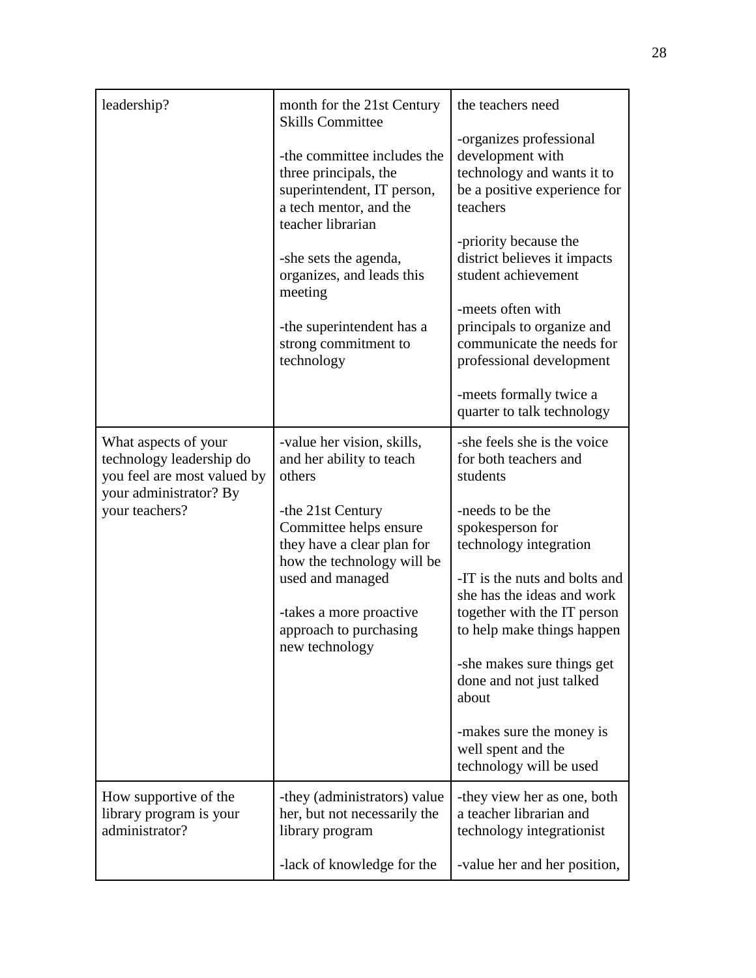| leadership?                                                                                                                 | month for the 21st Century<br><b>Skills Committee</b><br>-the committee includes the<br>three principals, the<br>superintendent, IT person,<br>a tech mentor, and the<br>teacher librarian<br>-she sets the agenda,<br>organizes, and leads this<br>meeting<br>-the superintendent has a | the teachers need<br>-organizes professional<br>development with<br>technology and wants it to<br>be a positive experience for<br>teachers<br>-priority because the<br>district believes it impacts<br>student achievement<br>-meets often with<br>principals to organize and                                                                                                                                  |
|-----------------------------------------------------------------------------------------------------------------------------|------------------------------------------------------------------------------------------------------------------------------------------------------------------------------------------------------------------------------------------------------------------------------------------|----------------------------------------------------------------------------------------------------------------------------------------------------------------------------------------------------------------------------------------------------------------------------------------------------------------------------------------------------------------------------------------------------------------|
|                                                                                                                             | strong commitment to<br>technology                                                                                                                                                                                                                                                       | communicate the needs for<br>professional development<br>-meets formally twice a<br>quarter to talk technology                                                                                                                                                                                                                                                                                                 |
| What aspects of your<br>technology leadership do<br>you feel are most valued by<br>your administrator? By<br>your teachers? | -value her vision, skills,<br>and her ability to teach<br>others<br>-the 21st Century<br>Committee helps ensure<br>they have a clear plan for<br>how the technology will be<br>used and managed<br>-takes a more proactive<br>approach to purchasing<br>new technology                   | -she feels she is the voice<br>for both teachers and<br>students<br>-needs to be the<br>spokesperson for<br>technology integration<br>-IT is the nuts and bolts and<br>she has the ideas and work<br>together with the IT person<br>to help make things happen<br>-she makes sure things get<br>done and not just talked<br>about<br>-makes sure the money is<br>well spent and the<br>technology will be used |
| How supportive of the<br>library program is your<br>administrator?                                                          | -they (administrators) value<br>her, but not necessarily the<br>library program                                                                                                                                                                                                          | -they view her as one, both<br>a teacher librarian and<br>technology integrationist                                                                                                                                                                                                                                                                                                                            |
|                                                                                                                             | -lack of knowledge for the                                                                                                                                                                                                                                                               | -value her and her position,                                                                                                                                                                                                                                                                                                                                                                                   |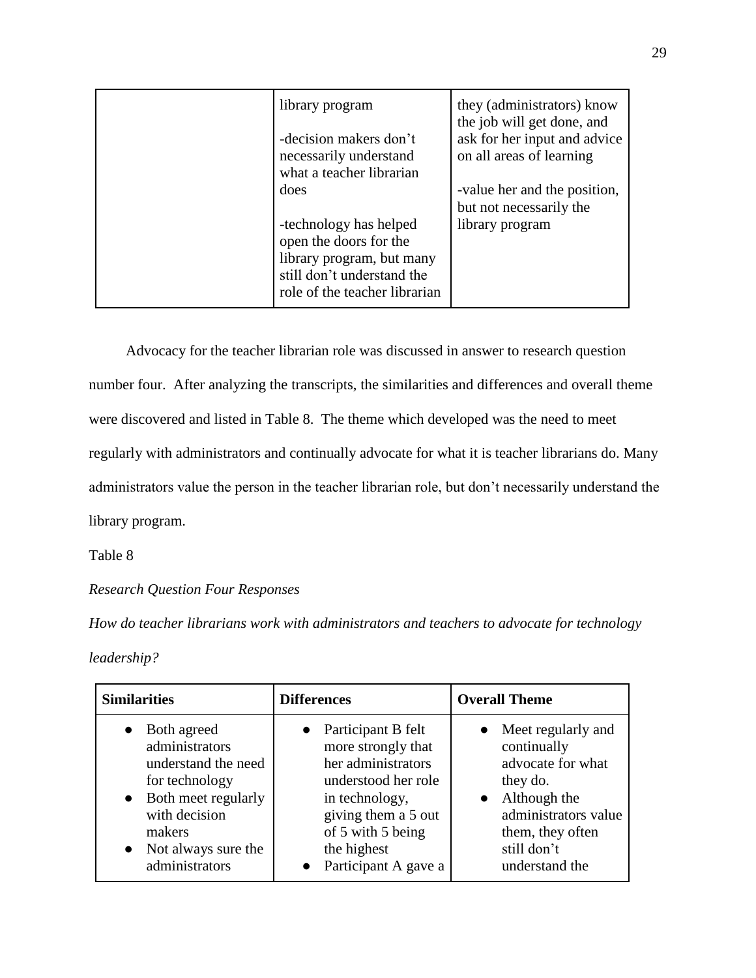| library program<br>-decision makers don't<br>necessarily understand<br>what a teacher librarian<br>does                                      | they (administrators) know<br>the job will get done, and<br>ask for her input and advice<br>on all areas of learning<br>-value her and the position, |
|----------------------------------------------------------------------------------------------------------------------------------------------|------------------------------------------------------------------------------------------------------------------------------------------------------|
| -technology has helped<br>open the doors for the<br>library program, but many<br>still don't understand the<br>role of the teacher librarian | but not necessarily the<br>library program                                                                                                           |

 Advocacy for the teacher librarian role was discussed in answer to research question number four. After analyzing the transcripts, the similarities and differences and overall theme were discovered and listed in Table 8. The theme which developed was the need to meet regularly with administrators and continually advocate for what it is teacher librarians do. Many administrators value the person in the teacher librarian role, but don't necessarily understand the library program.

Table 8

*Research Question Four Responses*

*How do teacher librarians work with administrators and teachers to advocate for technology* 

*leadership?*

| <b>Similarities</b>                                                                                                                                                   | <b>Differences</b>                                                                                                                                                                                        | <b>Overall Theme</b>                                                                                                                                                           |
|-----------------------------------------------------------------------------------------------------------------------------------------------------------------------|-----------------------------------------------------------------------------------------------------------------------------------------------------------------------------------------------------------|--------------------------------------------------------------------------------------------------------------------------------------------------------------------------------|
| Both agreed<br>administrators<br>understand the need<br>for technology<br>• Both meet regularly<br>with decision<br>makers<br>• Not always sure the<br>administrators | • Participant B felt<br>more strongly that<br>her administrators<br>understood her role<br>in technology,<br>giving them a 5 out<br>of 5 with 5 being<br>the highest<br>Participant A gave a<br>$\bullet$ | • Meet regularly and<br>continually<br>advocate for what<br>they do.<br>Although the<br>$\bullet$<br>administrators value<br>them, they often<br>still don't<br>understand the |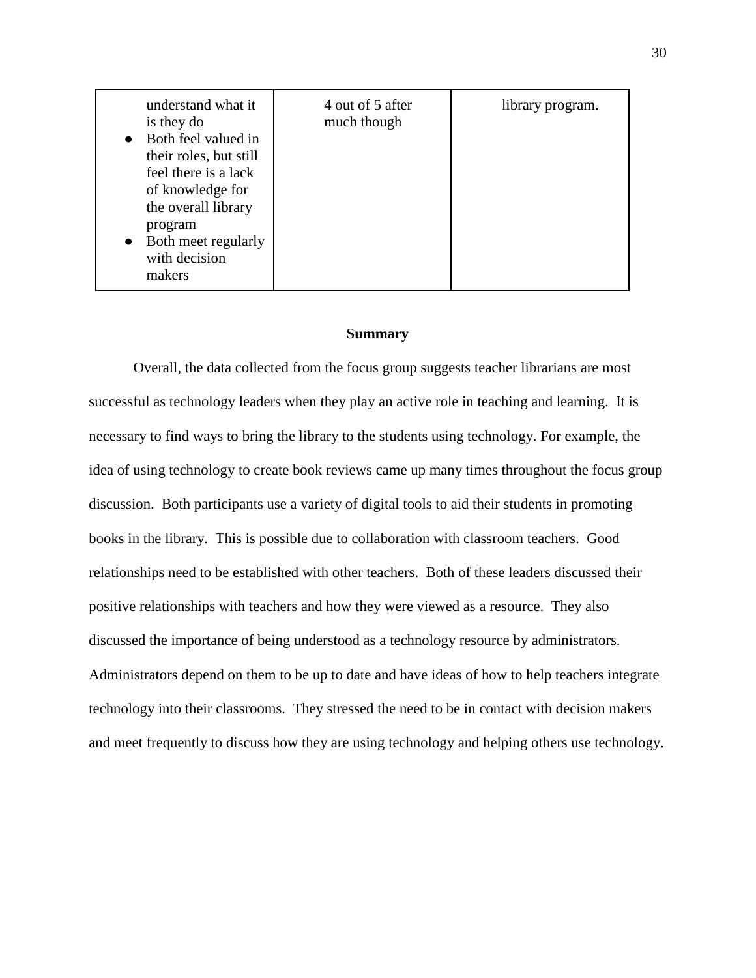| understand what it<br>is they do<br>Both feel valued in<br>their roles, but still<br>feel there is a lack<br>of knowledge for<br>the overall library<br>program<br>Both meet regularly<br>with decision<br>makers | 4 out of 5 after<br>much though | library program. |
|-------------------------------------------------------------------------------------------------------------------------------------------------------------------------------------------------------------------|---------------------------------|------------------|
|-------------------------------------------------------------------------------------------------------------------------------------------------------------------------------------------------------------------|---------------------------------|------------------|

#### **Summary**

Overall, the data collected from the focus group suggests teacher librarians are most successful as technology leaders when they play an active role in teaching and learning. It is necessary to find ways to bring the library to the students using technology. For example, the idea of using technology to create book reviews came up many times throughout the focus group discussion. Both participants use a variety of digital tools to aid their students in promoting books in the library. This is possible due to collaboration with classroom teachers. Good relationships need to be established with other teachers. Both of these leaders discussed their positive relationships with teachers and how they were viewed as a resource. They also discussed the importance of being understood as a technology resource by administrators. Administrators depend on them to be up to date and have ideas of how to help teachers integrate technology into their classrooms. They stressed the need to be in contact with decision makers and meet frequently to discuss how they are using technology and helping others use technology.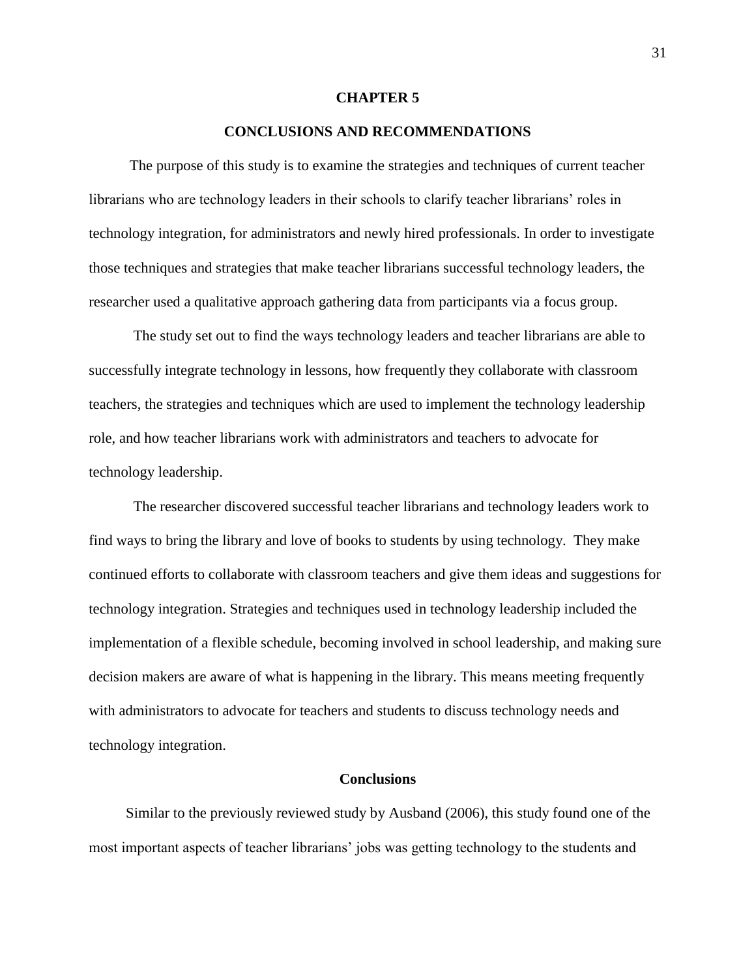#### **CHAPTER 5**

## **CONCLUSIONS AND RECOMMENDATIONS**

 The purpose of this study is to examine the strategies and techniques of current teacher librarians who are technology leaders in their schools to clarify teacher librarians' roles in technology integration, for administrators and newly hired professionals. In order to investigate those techniques and strategies that make teacher librarians successful technology leaders, the researcher used a qualitative approach gathering data from participants via a focus group.

The study set out to find the ways technology leaders and teacher librarians are able to successfully integrate technology in lessons, how frequently they collaborate with classroom teachers, the strategies and techniques which are used to implement the technology leadership role, and how teacher librarians work with administrators and teachers to advocate for technology leadership.

The researcher discovered successful teacher librarians and technology leaders work to find ways to bring the library and love of books to students by using technology. They make continued efforts to collaborate with classroom teachers and give them ideas and suggestions for technology integration. Strategies and techniques used in technology leadership included the implementation of a flexible schedule, becoming involved in school leadership, and making sure decision makers are aware of what is happening in the library. This means meeting frequently with administrators to advocate for teachers and students to discuss technology needs and technology integration.

#### **Conclusions**

Similar to the previously reviewed study by Ausband (2006), this study found one of the most important aspects of teacher librarians' jobs was getting technology to the students and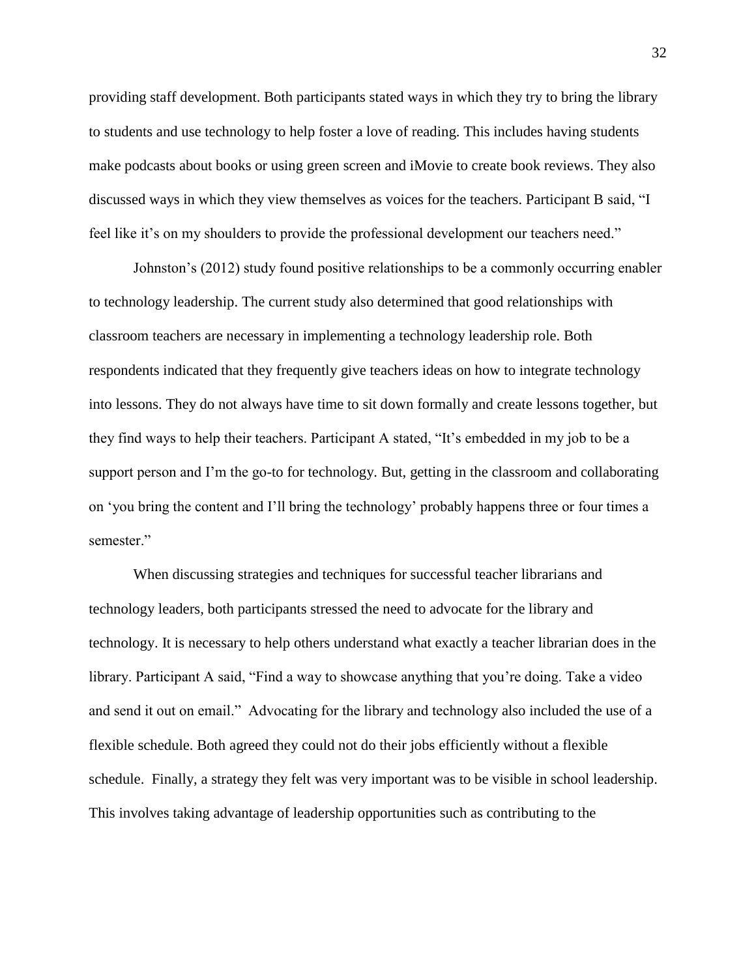providing staff development. Both participants stated ways in which they try to bring the library to students and use technology to help foster a love of reading. This includes having students make podcasts about books or using green screen and iMovie to create book reviews. They also discussed ways in which they view themselves as voices for the teachers. Participant B said, "I feel like it's on my shoulders to provide the professional development our teachers need."

Johnston's (2012) study found positive relationships to be a commonly occurring enabler to technology leadership. The current study also determined that good relationships with classroom teachers are necessary in implementing a technology leadership role. Both respondents indicated that they frequently give teachers ideas on how to integrate technology into lessons. They do not always have time to sit down formally and create lessons together, but they find ways to help their teachers. Participant A stated, "It's embedded in my job to be a support person and I'm the go-to for technology. But, getting in the classroom and collaborating on 'you bring the content and I'll bring the technology' probably happens three or four times a semester."

When discussing strategies and techniques for successful teacher librarians and technology leaders, both participants stressed the need to advocate for the library and technology. It is necessary to help others understand what exactly a teacher librarian does in the library. Participant A said, "Find a way to showcase anything that you're doing. Take a video and send it out on email." Advocating for the library and technology also included the use of a flexible schedule. Both agreed they could not do their jobs efficiently without a flexible schedule. Finally, a strategy they felt was very important was to be visible in school leadership. This involves taking advantage of leadership opportunities such as contributing to the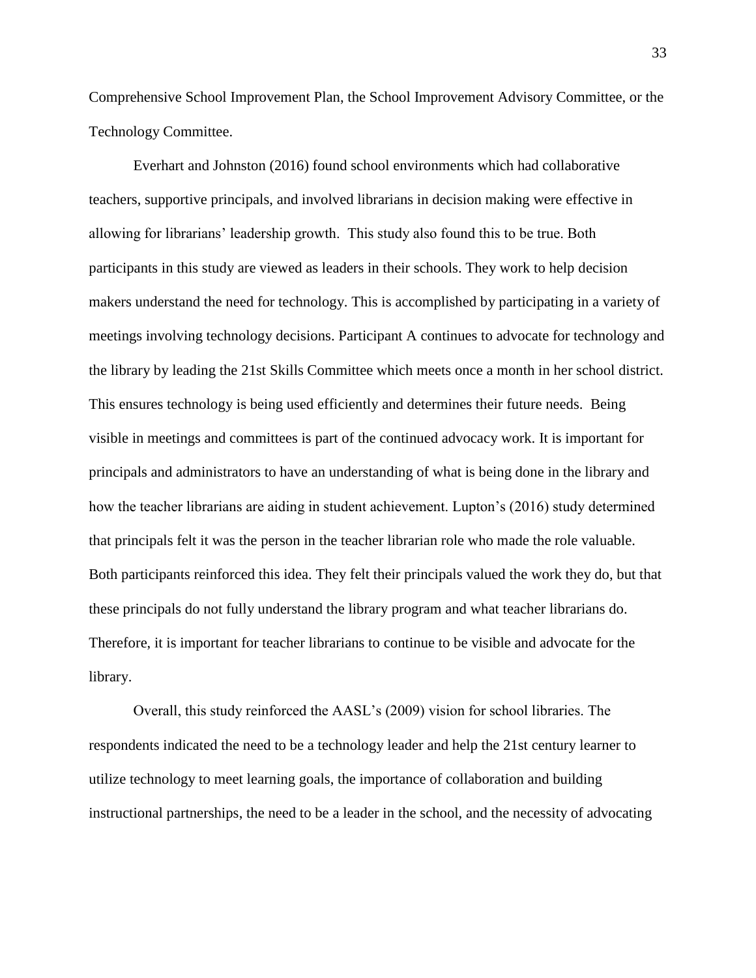Comprehensive School Improvement Plan, the School Improvement Advisory Committee, or the Technology Committee.

Everhart and Johnston (2016) found school environments which had collaborative teachers, supportive principals, and involved librarians in decision making were effective in allowing for librarians' leadership growth. This study also found this to be true. Both participants in this study are viewed as leaders in their schools. They work to help decision makers understand the need for technology. This is accomplished by participating in a variety of meetings involving technology decisions. Participant A continues to advocate for technology and the library by leading the 21st Skills Committee which meets once a month in her school district. This ensures technology is being used efficiently and determines their future needs. Being visible in meetings and committees is part of the continued advocacy work. It is important for principals and administrators to have an understanding of what is being done in the library and how the teacher librarians are aiding in student achievement. Lupton's (2016) study determined that principals felt it was the person in the teacher librarian role who made the role valuable. Both participants reinforced this idea. They felt their principals valued the work they do, but that these principals do not fully understand the library program and what teacher librarians do. Therefore, it is important for teacher librarians to continue to be visible and advocate for the library.

Overall, this study reinforced the AASL's (2009) vision for school libraries. The respondents indicated the need to be a technology leader and help the 21st century learner to utilize technology to meet learning goals, the importance of collaboration and building instructional partnerships, the need to be a leader in the school, and the necessity of advocating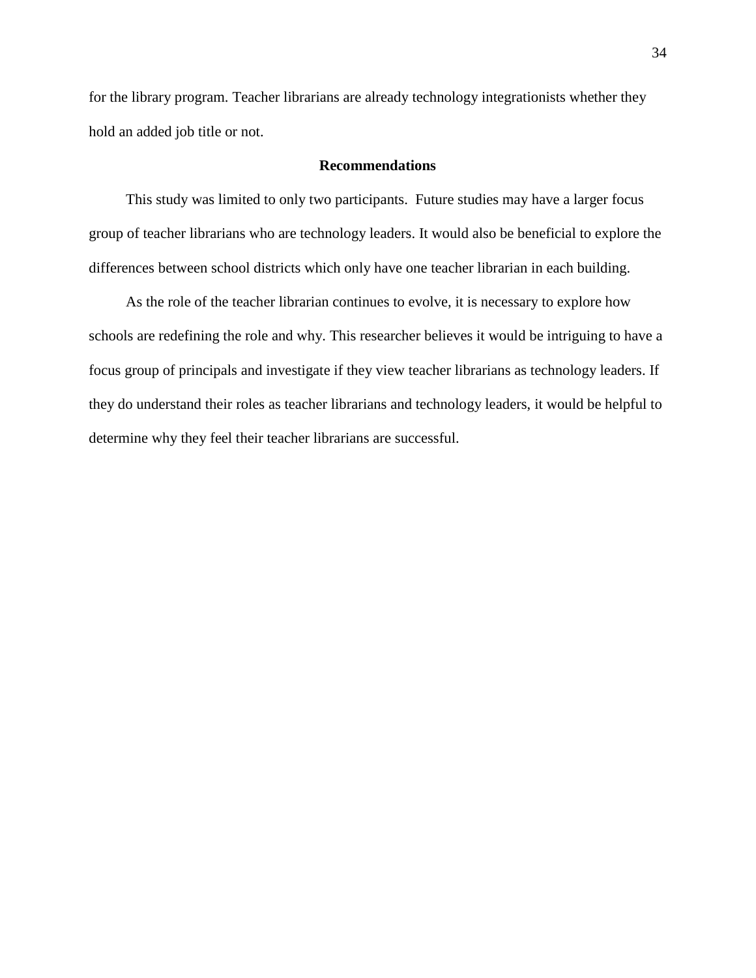for the library program. Teacher librarians are already technology integrationists whether they hold an added job title or not.

## **Recommendations**

 This study was limited to only two participants. Future studies may have a larger focus group of teacher librarians who are technology leaders. It would also be beneficial to explore the differences between school districts which only have one teacher librarian in each building.

 As the role of the teacher librarian continues to evolve, it is necessary to explore how schools are redefining the role and why. This researcher believes it would be intriguing to have a focus group of principals and investigate if they view teacher librarians as technology leaders. If they do understand their roles as teacher librarians and technology leaders, it would be helpful to determine why they feel their teacher librarians are successful.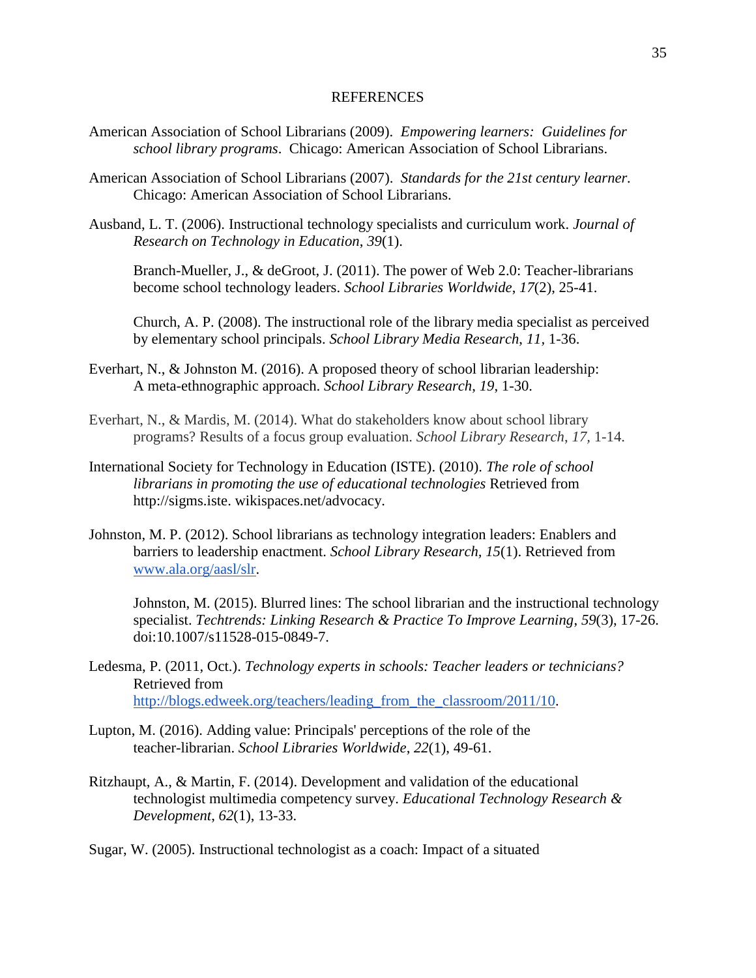#### REFERENCES

- American Association of School Librarians (2009). *Empowering learners: Guidelines for school library programs*. Chicago: American Association of School Librarians.
- American Association of School Librarians (2007). *Standards for the 21st century learner.*  Chicago: American Association of School Librarians.
- Ausband, L. T. (2006). Instructional technology specialists and curriculum work. *Journal of Research on Technology in Education*, *39*(1).

Branch-Mueller, J., & deGroot, J. (2011). The power of Web 2.0: Teacher-librarians become school technology leaders. *School Libraries Worldwide*, *17*(2), 25-41.

Church, A. P. (2008). The instructional role of the library media specialist as perceived by elementary school principals. *School Library Media Research*, *11,* 1-36.

- Everhart, N., & Johnston M. (2016). A proposed theory of school librarian leadership: A meta-ethnographic approach. *School Library Research*, *19*, 1-30.
- Everhart, N., & Mardis, M. (2014). What do stakeholders know about school library programs? Results of a focus group evaluation. *School Library Research*, *17,* 1-14.
- International Society for Technology in Education (ISTE). (2010). *The role of school librarians in promoting the use of educational technologies* Retrieved from http://sigms.iste. wikispaces.net/advocacy.
- Johnston, M. P. (2012). School librarians as technology integration leaders: Enablers and barriers to leadership enactment. *School Library Research, 15*(1). Retrieved from [www.ala.org/aasl/slr.](http://www.ala.org/aasl/slr)

Johnston, M. (2015). Blurred lines: The school librarian and the instructional technology specialist. *Techtrends: Linking Research & Practice To Improve Learning*, *59*(3), 17-26. doi:10.1007/s11528-015-0849-7.

- Ledesma, P. (2011, Oct.). *Technology experts in schools: Teacher leaders or technicians?*  Retrieved from http://blogs.edweek.org/teachers/leading from the classroom/2011/10.
- Lupton, M. (2016). Adding value: Principals' perceptions of the role of the teacher-librarian. *School Libraries Worldwide*, *22*(1), 49-61.
- Ritzhaupt, A., & Martin, F. (2014). Development and validation of the educational technologist multimedia competency survey. *Educational Technology Research & Development*, *62*(1), 13-33.

Sugar, W. (2005). Instructional technologist as a coach: Impact of a situated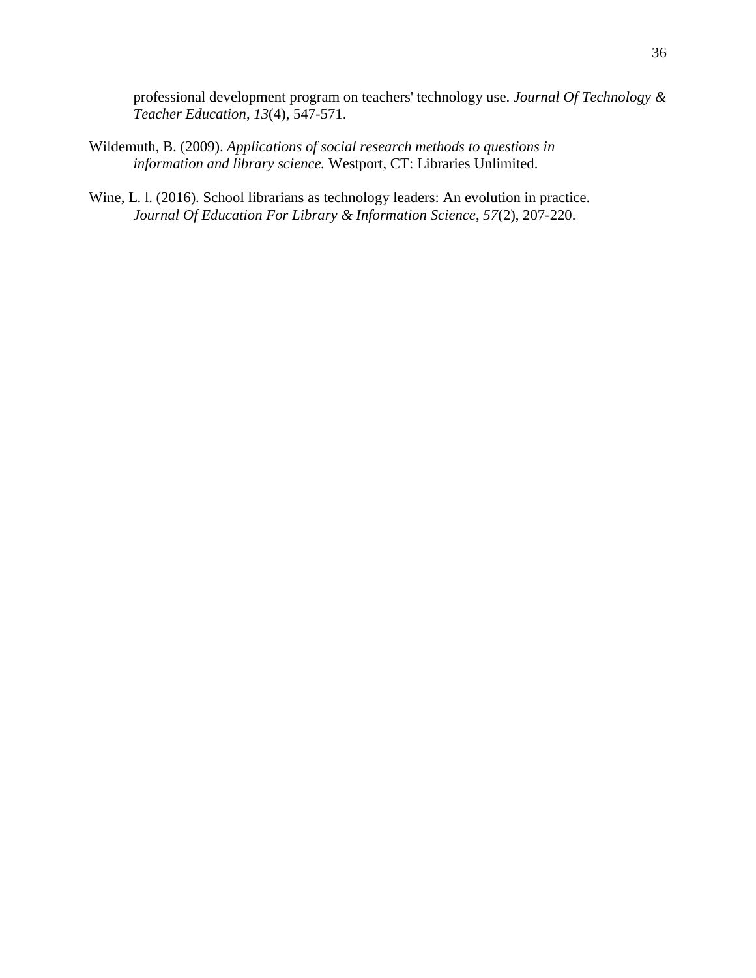professional development program on teachers' technology use. *Journal Of Technology & Teacher Education*, *13*(4), 547-571.

- Wildemuth, B. (2009). *Applications of social research methods to questions in information and library science.* Westport, CT: Libraries Unlimited.
- Wine, L. l. (2016). School librarians as technology leaders: An evolution in practice. *Journal Of Education For Library & Information Science*, *57*(2), 207-220.